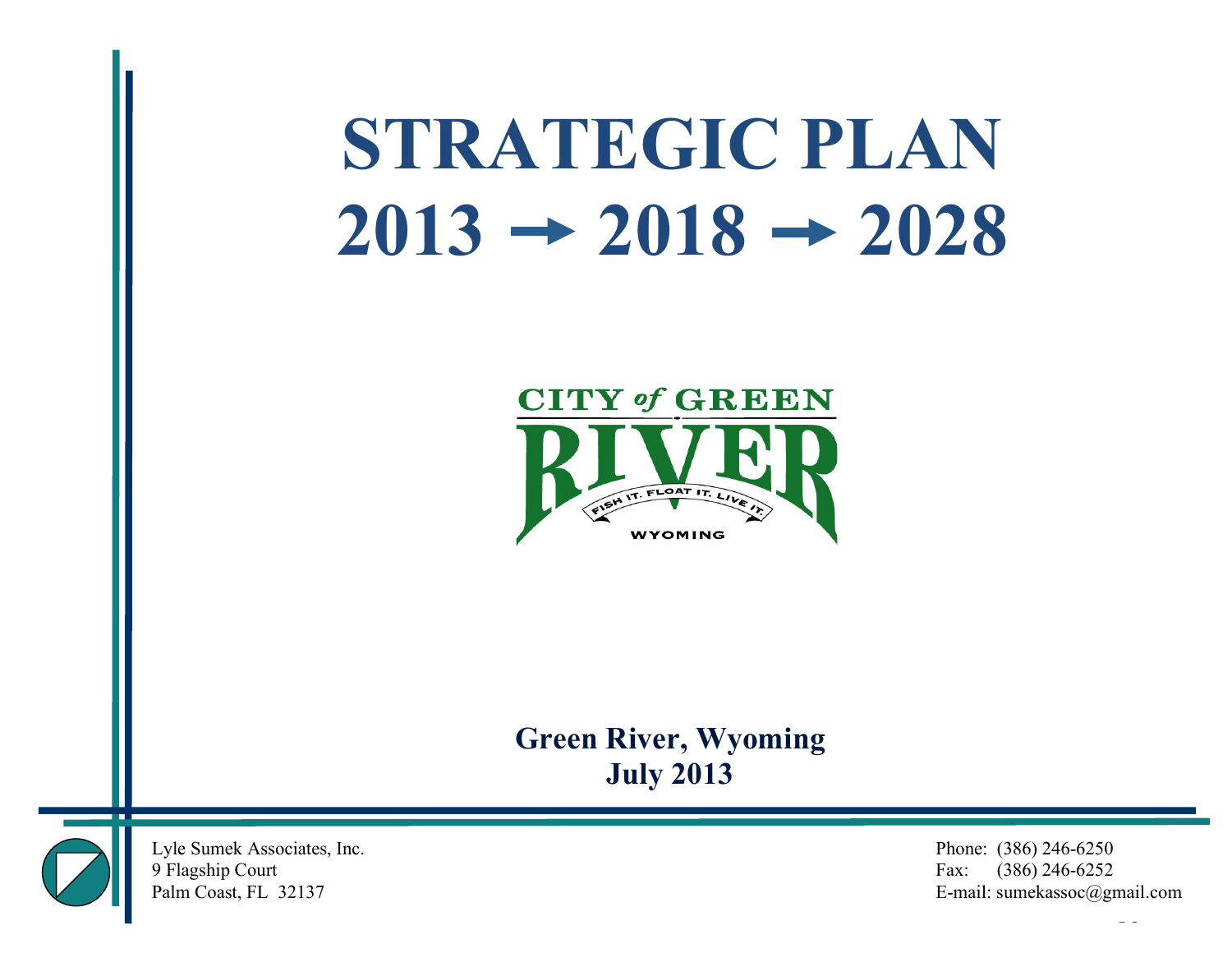# **STRATEGIC PLAN**  $2013 \rightarrow 2018 \rightarrow 2028$



# **Green River, Wyoming July 2013**



Lyle Sumek Associates, Inc. Phone: (386) 246-6250

9 Flagship Court Fax: (386) 246-6252 Palm Coast, FL 32137 E-mail: sumekassoc@gmail.com

Palm Coast, FL 32137 E-mail: sumekassoc@gmail.com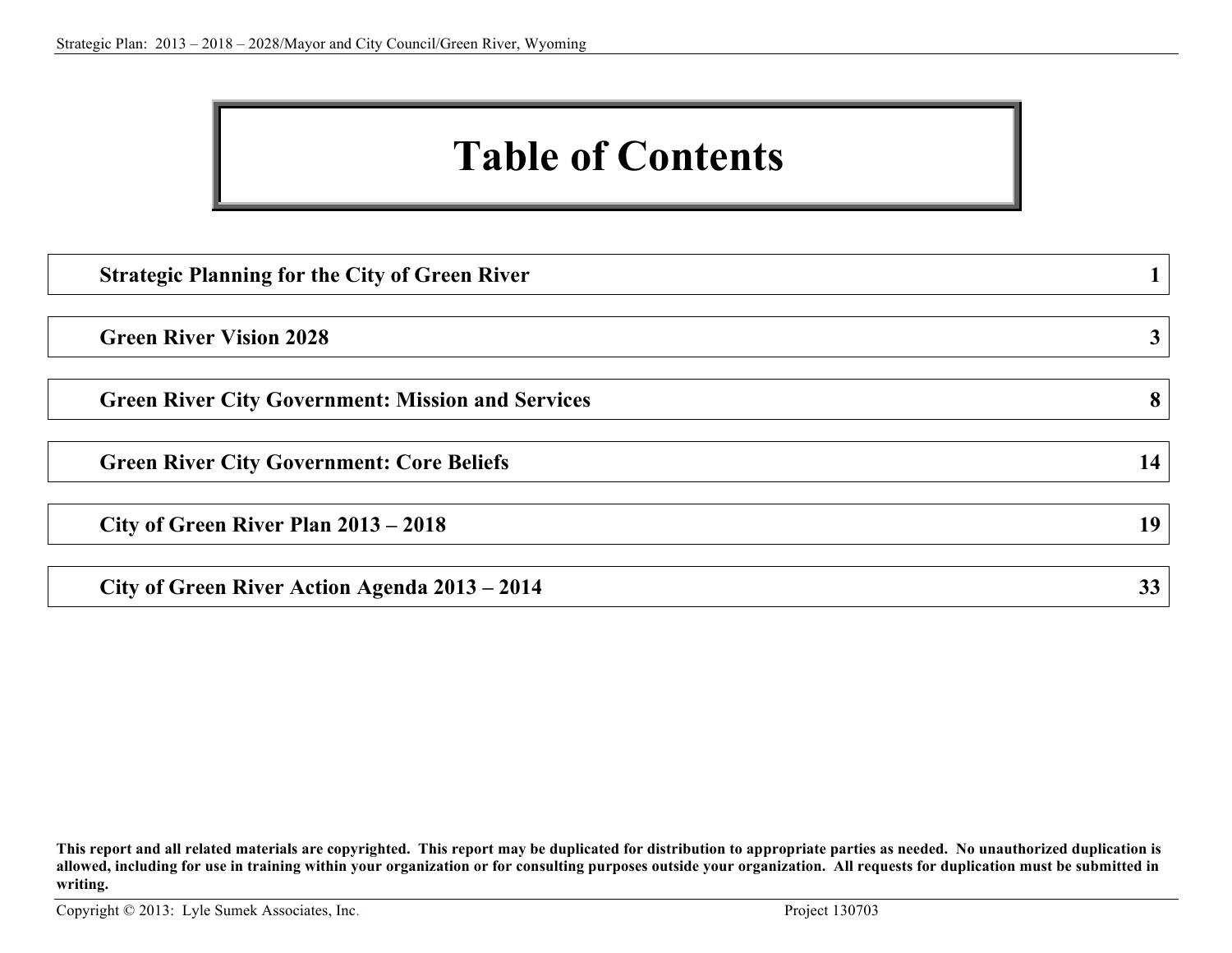# **Table of Contents**

| <b>Strategic Planning for the City of Green River</b>    |    |
|----------------------------------------------------------|----|
| <b>Green River Vision 2028</b>                           | 3  |
| <b>Green River City Government: Mission and Services</b> | 8  |
| <b>Green River City Government: Core Beliefs</b>         | 14 |
| City of Green River Plan 2013 – 2018                     | 19 |
| City of Green River Action Agenda 2013 – 2014            | 33 |

**This report and all related materials are copyrighted. This report may be duplicated for distribution to appropriate parties as needed. No unauthorized duplication is allowed, including for use in training within your organization or for consulting purposes outside your organization. All requests for duplication must be submitted in writing.**

Copyright © 2013: Lyle Sumek Associates, Inc. Project 130703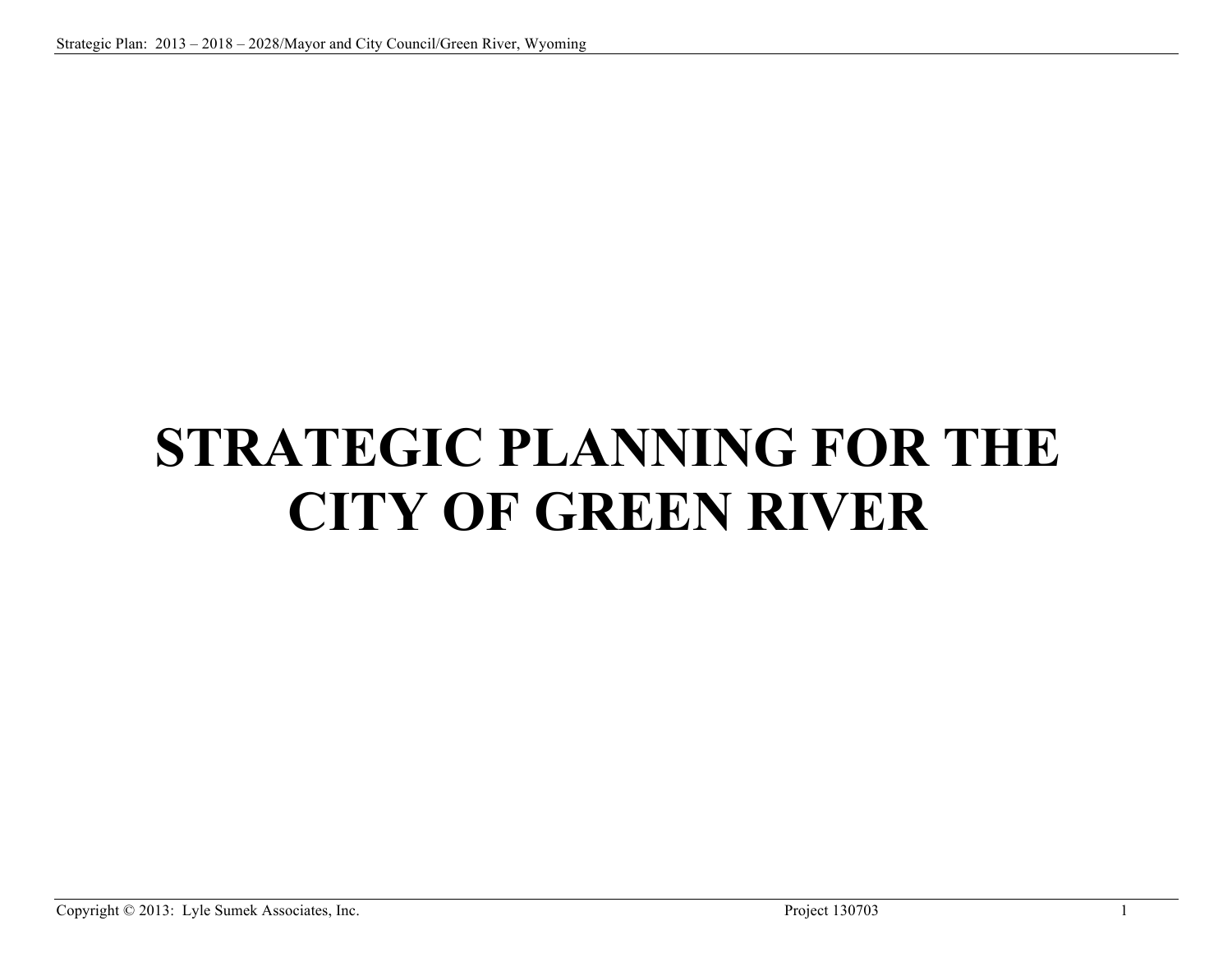# **STRATEGIC PLANNING FOR THE CITY OF GREEN RIVER**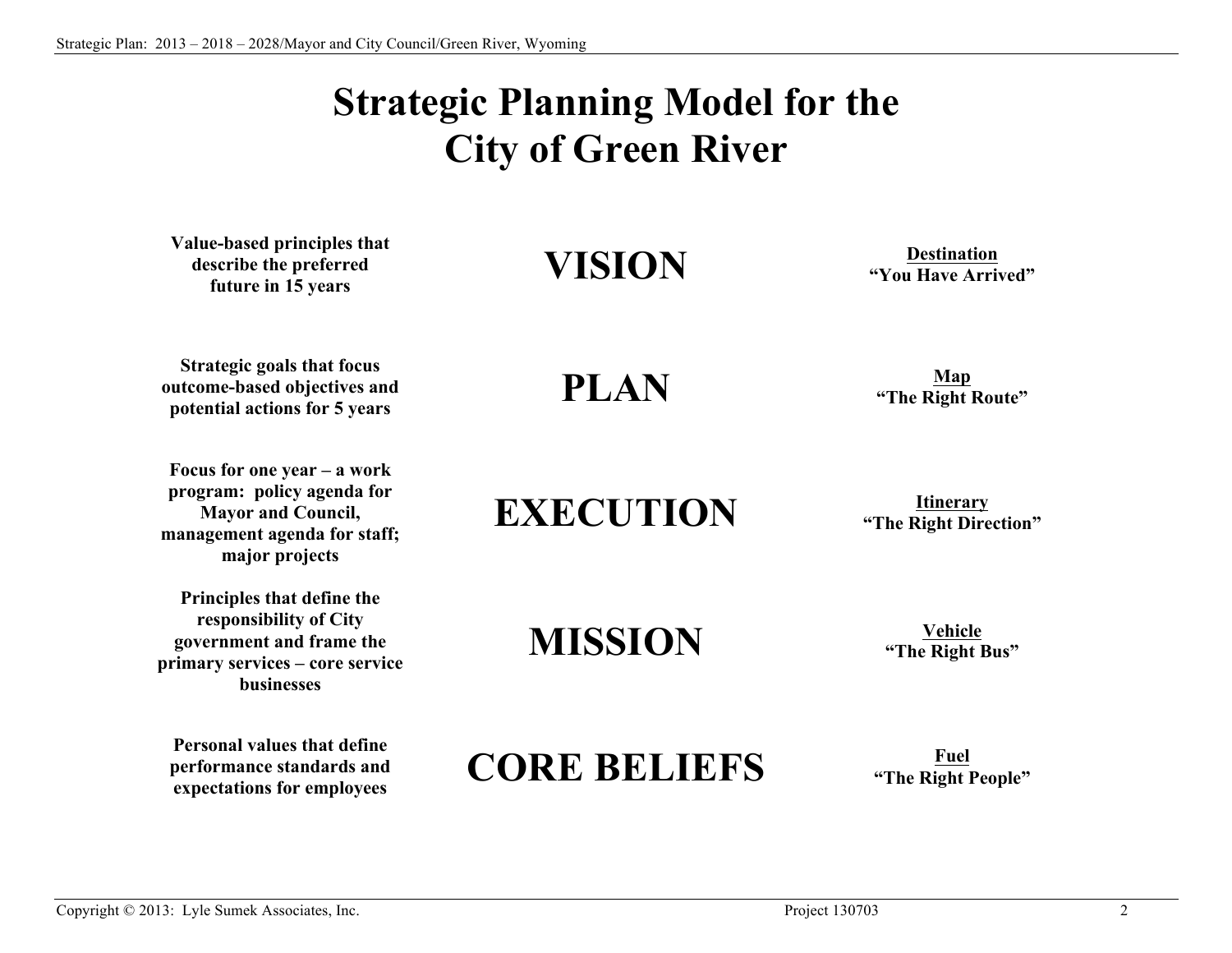# **Strategic Planning Model for the City of Green River**

**Value-based principles that describe the preferred future in 15 years**

**Strategic goals that focus outcome-based objectives and potential actions for 5 years**

**Focus for one year – a work program: policy agenda for Mayor and Council, management agenda for staff; major projects**

**Principles that define the responsibility of City government and frame the primary services – core service businesses**

**Personal values that define performance standards and expectations for employees**

# **VISION Destination**

**"You Have Arrived"**

**PLAN Map**<br> **Map Map Map Map Map Map Map Map Map Map Map Map Map Map Map Map Map Map Map Map Map Map Map Map Map Map Map Map Map Map Map Map Map Map Map** 

**"The Right Route"**

**EXECUTION Iting EXECUTION Integraly** 

**"The Right Direction"**

**MISSION Vehicle**

**"The Right Bus"**

# **CORE BELIEFS Fuel**

**"The Right People"**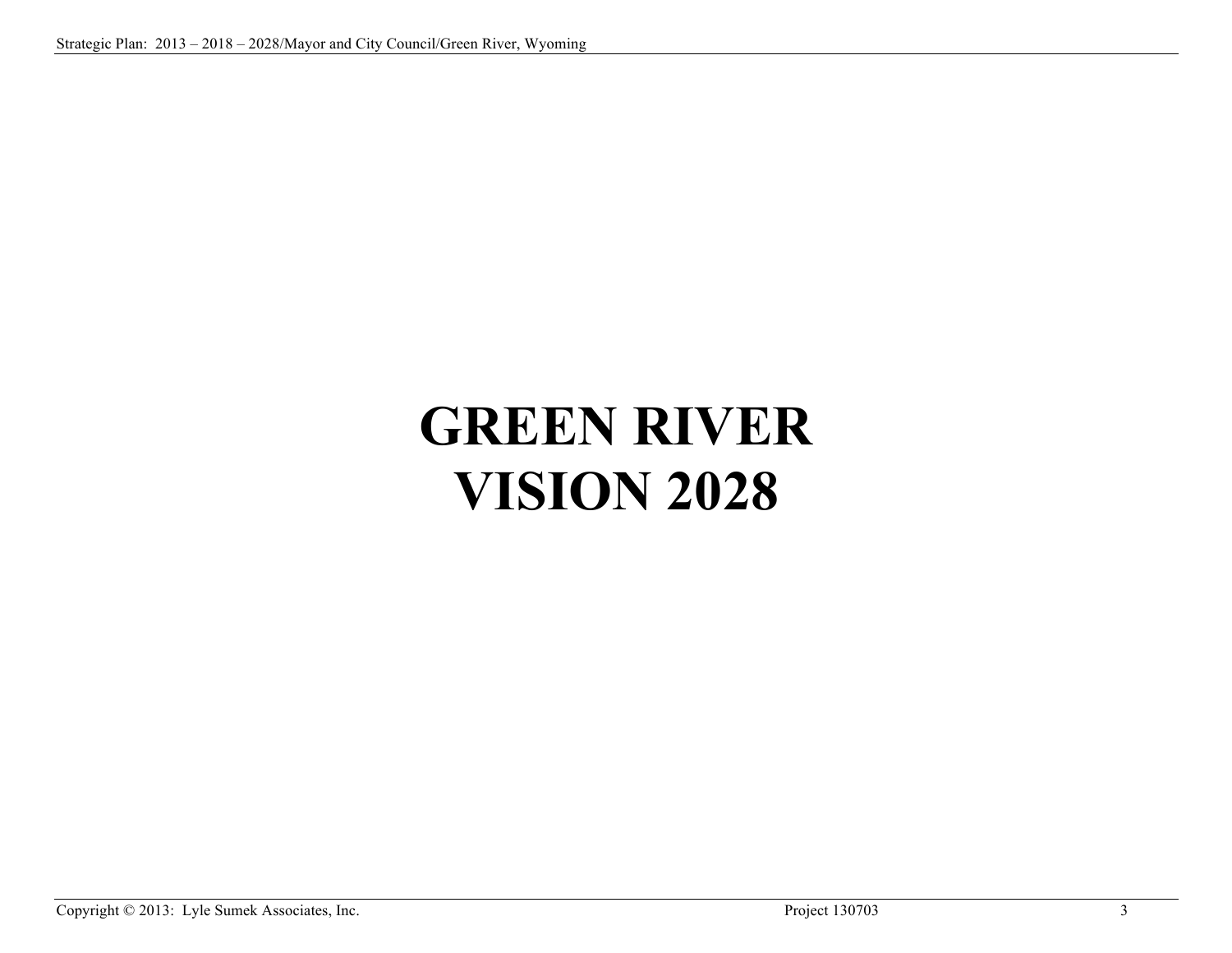# **GREEN RIVER VISION 2028**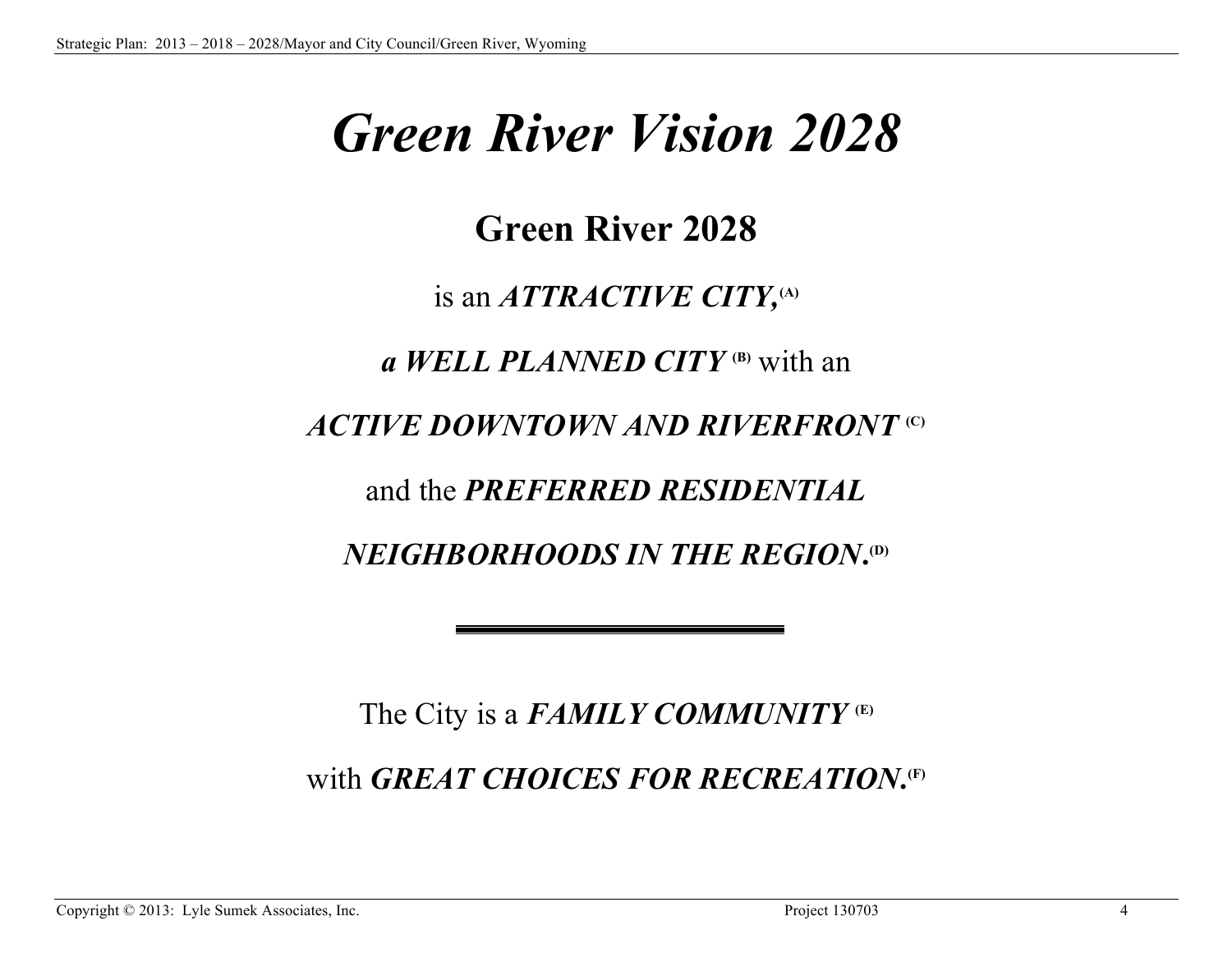# *Green River Vision 2028*

# **Green River 2028**

# is an *ATTRACTIVE CITY,***(A)**

*a WELL PLANNED CITY* **(B)** with an

# *ACTIVE DOWNTOWN AND RIVERFRONT* **(C)**

and the *PREFERRED RESIDENTIAL*

 $NEIGHBORHOODS$  *IN THE REGION*.<sup>(D)</sup>

The City is a *FAMILY COMMUNITY* **(E)**

 $\mathbf{with}$  *GREAT CHOICES FOR RECREATION***.**<sup>(F)</sup>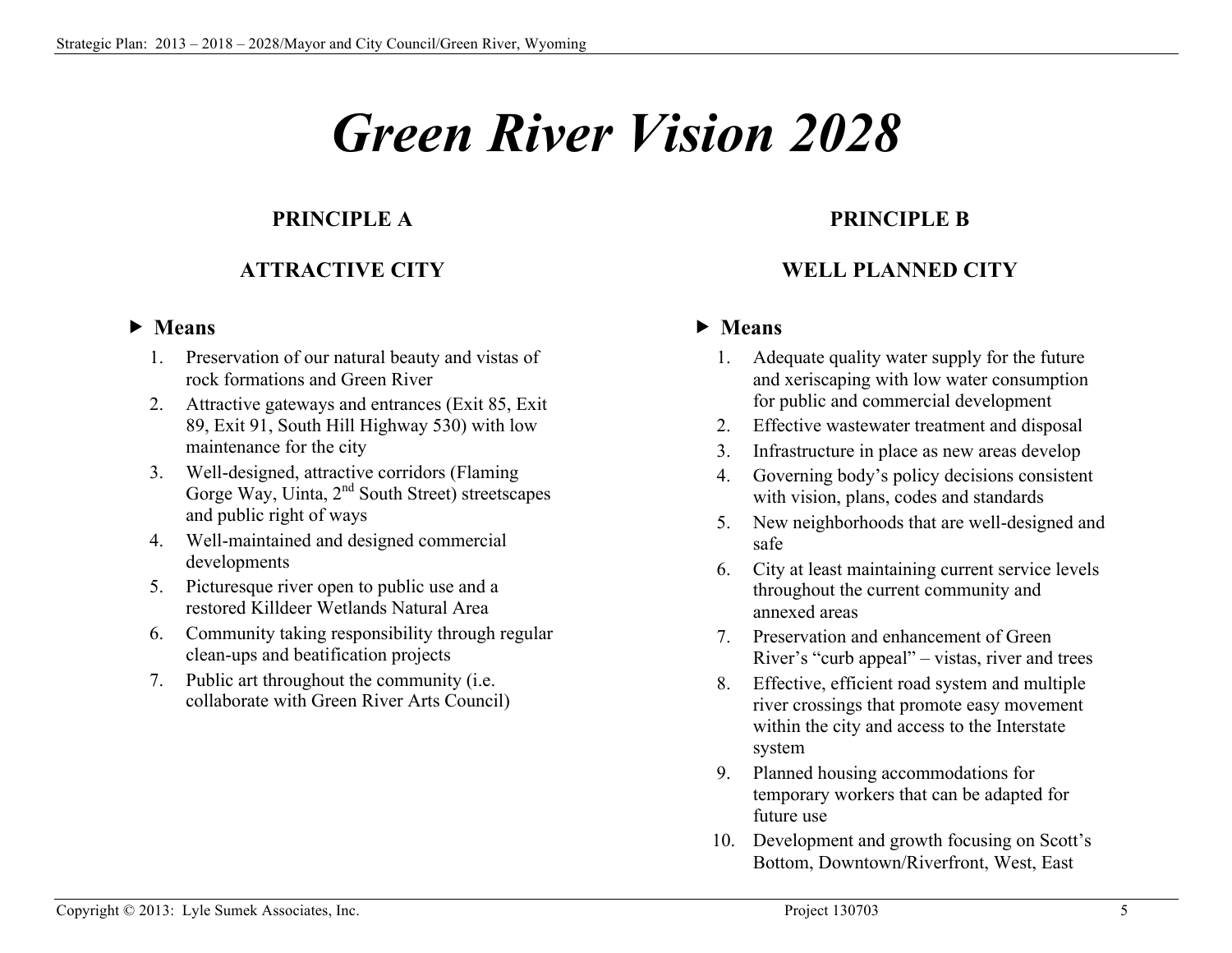# *Green River Vision 2028*

# **PRINCIPLE A**

# **ATTRACTIVE CITY**

## **Means**

- 1. Preservation of our natural beauty and vistas of rock formations and Green River
- 2. Attractive gateways and entrances (Exit 85, Exit 89, Exit 91, South Hill Highway 530) with low maintenance for the city
- 3. Well-designed, attractive corridors (Flaming Gorge Way, Uinta, 2<sup>nd</sup> South Street) streetscapes and public right of ways
- 4. Well-maintained and designed commercial developments
- 5. Picturesque river open to public use and a restored Killdeer Wetlands Natural Area
- 6. Community taking responsibility through regular clean-ups and beatification projects
- 7. Public art throughout the community (i.e. collaborate with Green River Arts Council)

# **PRINCIPLE B**

# **WELL PLANNED CITY**

- 1. Adequate quality water supply for the future and xeriscaping with low water consumption for public and commercial development
- 2. Effective wastewater treatment and disposal
- 3. Infrastructure in place as new areas develop
- 4. Governing body's policy decisions consistent with vision, plans, codes and standards
- 5. New neighborhoods that are well-designed and safe
- 6. City at least maintaining current service levels throughout the current community and annexed areas
- 7. Preservation and enhancement of Green River's "curb appeal" – vistas, river and trees
- 8. Effective, efficient road system and multiple river crossings that promote easy movement within the city and access to the Interstate system
- 9. Planned housing accommodations for temporary workers that can be adapted for future use
- 10. Development and growth focusing on Scott's Bottom, Downtown/Riverfront, West, East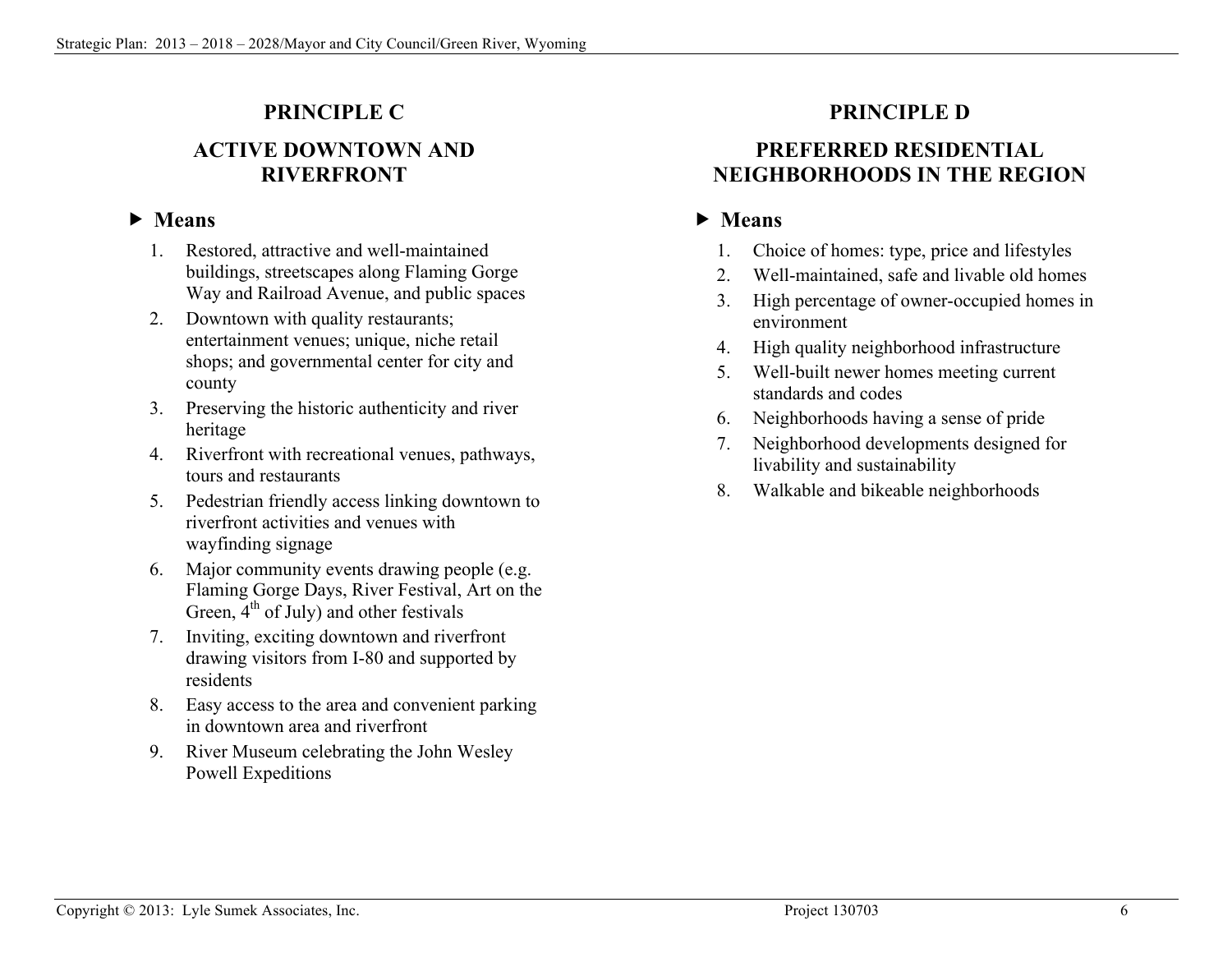# **PRINCIPLE C**

# **ACTIVE DOWNTOWN AND RIVERFRONT**

# **Means**

- 1. Restored, attractive and well-maintained buildings, streetscapes along Flaming Gorge Way and Railroad Avenue, and public spaces
- 2. Downtown with quality restaurants; entertainment venues; unique, niche retail shops; and governmental center for city and county
- 3. Preserving the historic authenticity and river heritage
- 4. Riverfront with recreational venues, pathways, tours and restaurants
- 5. Pedestrian friendly access linking downtown to riverfront activities and venues with wayfinding signage
- 6. Major community events drawing people (e.g. Flaming Gorge Days, River Festival, Art on the Green,  $4<sup>th</sup>$  of July) and other festivals
- 7. Inviting, exciting downtown and riverfront drawing visitors from I-80 and supported by residents
- 8. Easy access to the area and convenient parking in downtown area and riverfront
- 9. River Museum celebrating the John Wesley Powell Expeditions

# **PRINCIPLE D**

# **PREFERRED RESIDENTIAL NEIGHBORHOODS IN THE REGION**

- 1. Choice of homes: type, price and lifestyles
- 2. Well-maintained, safe and livable old homes
- 3. High percentage of owner-occupied homes in environment
- 4. High quality neighborhood infrastructure
- 5. Well-built newer homes meeting current standards and codes
- 6. Neighborhoods having a sense of pride
- 7. Neighborhood developments designed for livability and sustainability
- 8. Walkable and bikeable neighborhoods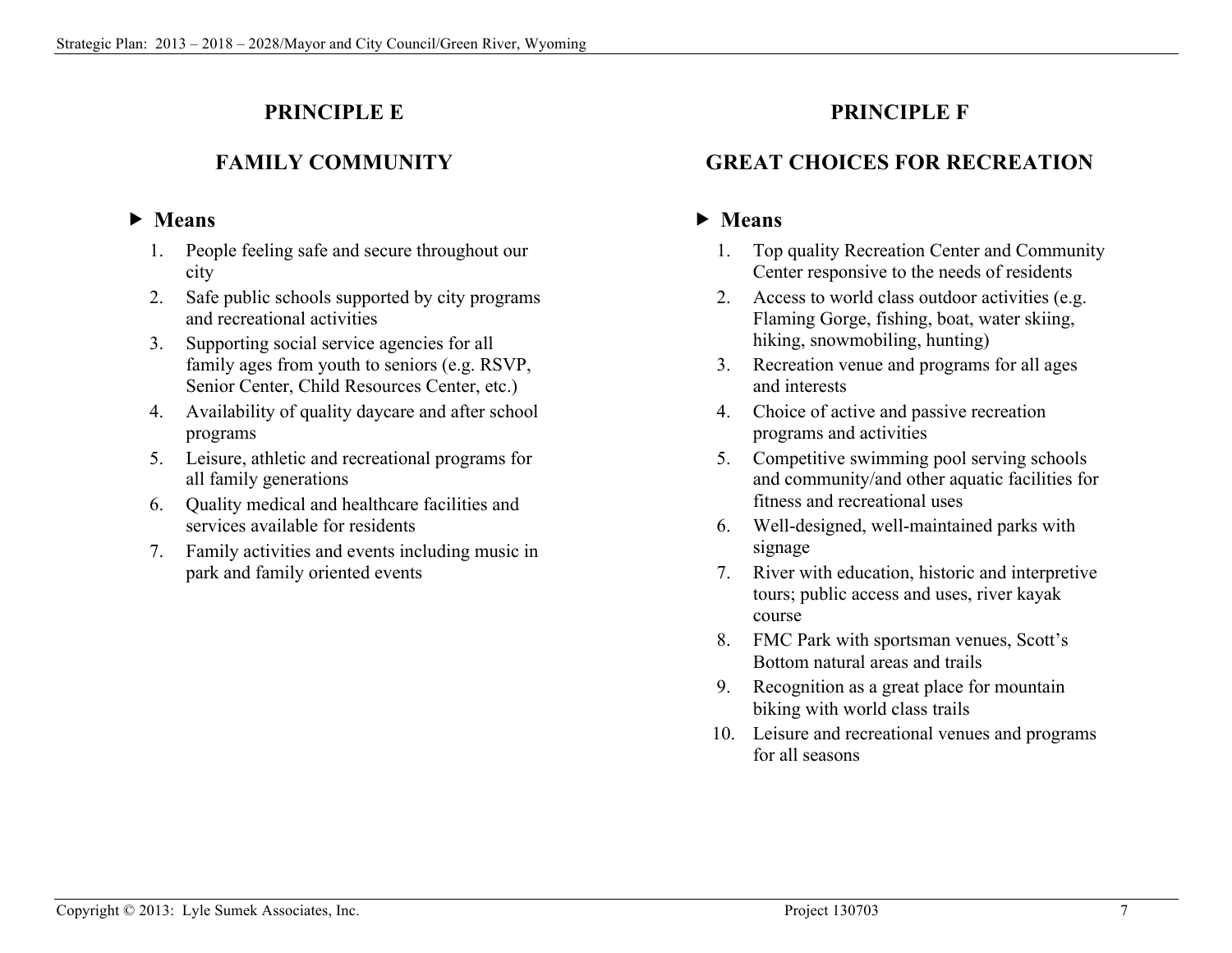# **PRINCIPLE E**

# **FAMILY COMMUNITY**

# **Means**

- 1. People feeling safe and secure throughout our city
- 2. Safe public schools supported by city programs and recreational activities
- 3. Supporting social service agencies for all family ages from youth to seniors (e.g. RSVP, Senior Center, Child Resources Center, etc.)
- 4. Availability of quality daycare and after school programs
- 5. Leisure, athletic and recreational programs for all family generations
- 6. Quality medical and healthcare facilities and services available for residents
- 7. Family activities and events including music in park and family oriented events

# **PRINCIPLE F**

# **GREAT CHOICES FOR RECREATION**

- 1. Top quality Recreation Center and Community Center responsive to the needs of residents
- 2. Access to world class outdoor activities (e.g. Flaming Gorge, fishing, boat, water skiing, hiking, snowmobiling, hunting)
- 3. Recreation venue and programs for all ages and interests
- 4. Choice of active and passive recreation programs and activities
- 5. Competitive swimming pool serving schools and community/and other aquatic facilities for fitness and recreational uses
- 6. Well-designed, well-maintained parks with signage
- 7. River with education, historic and interpretive tours; public access and uses, river kayak course
- 8. FMC Park with sportsman venues, Scott's Bottom natural areas and trails
- 9. Recognition as a great place for mountain biking with world class trails
- 10. Leisure and recreational venues and programs for all seasons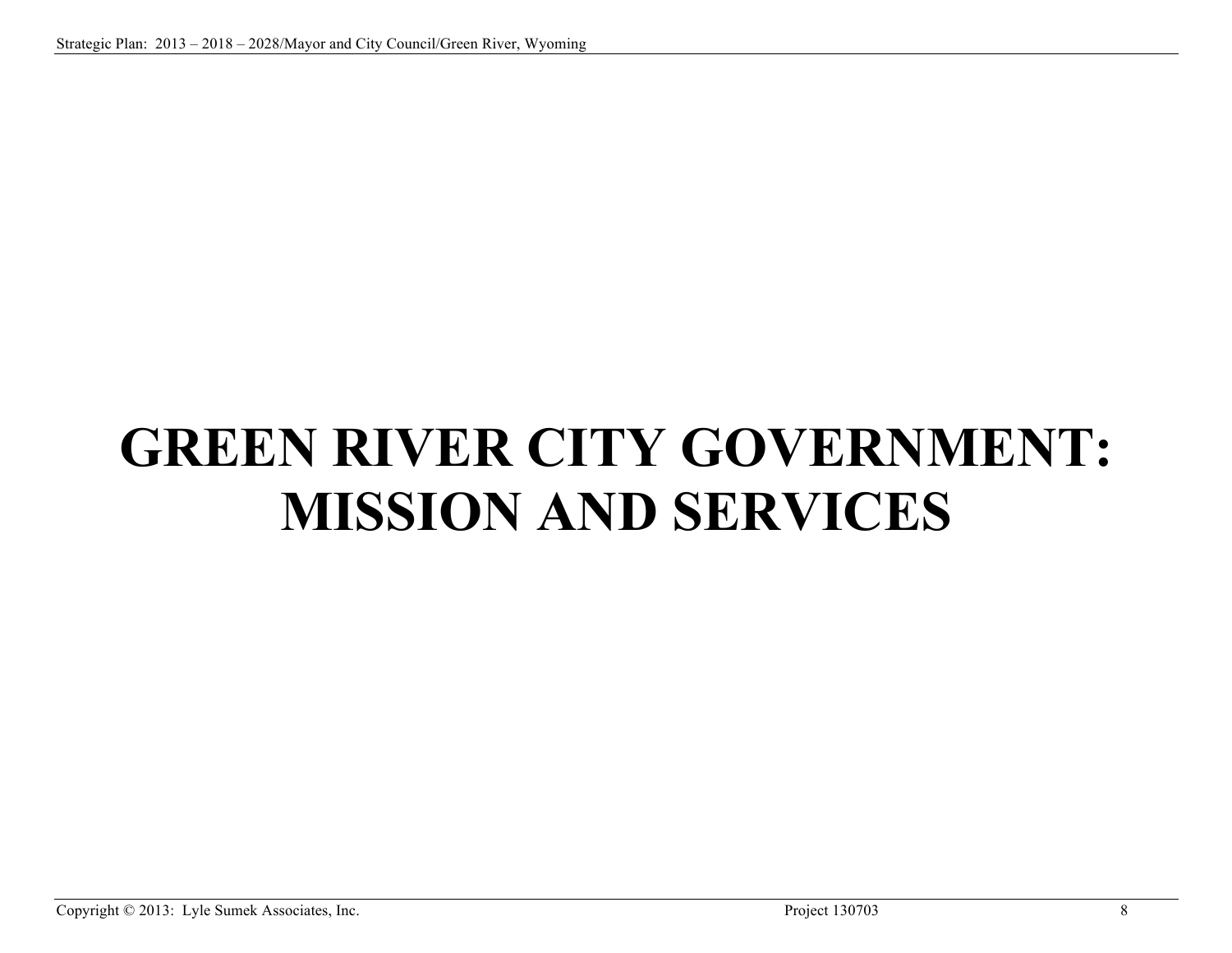# **GREEN RIVER CITY GOVERNMENT: MISSION AND SERVICES**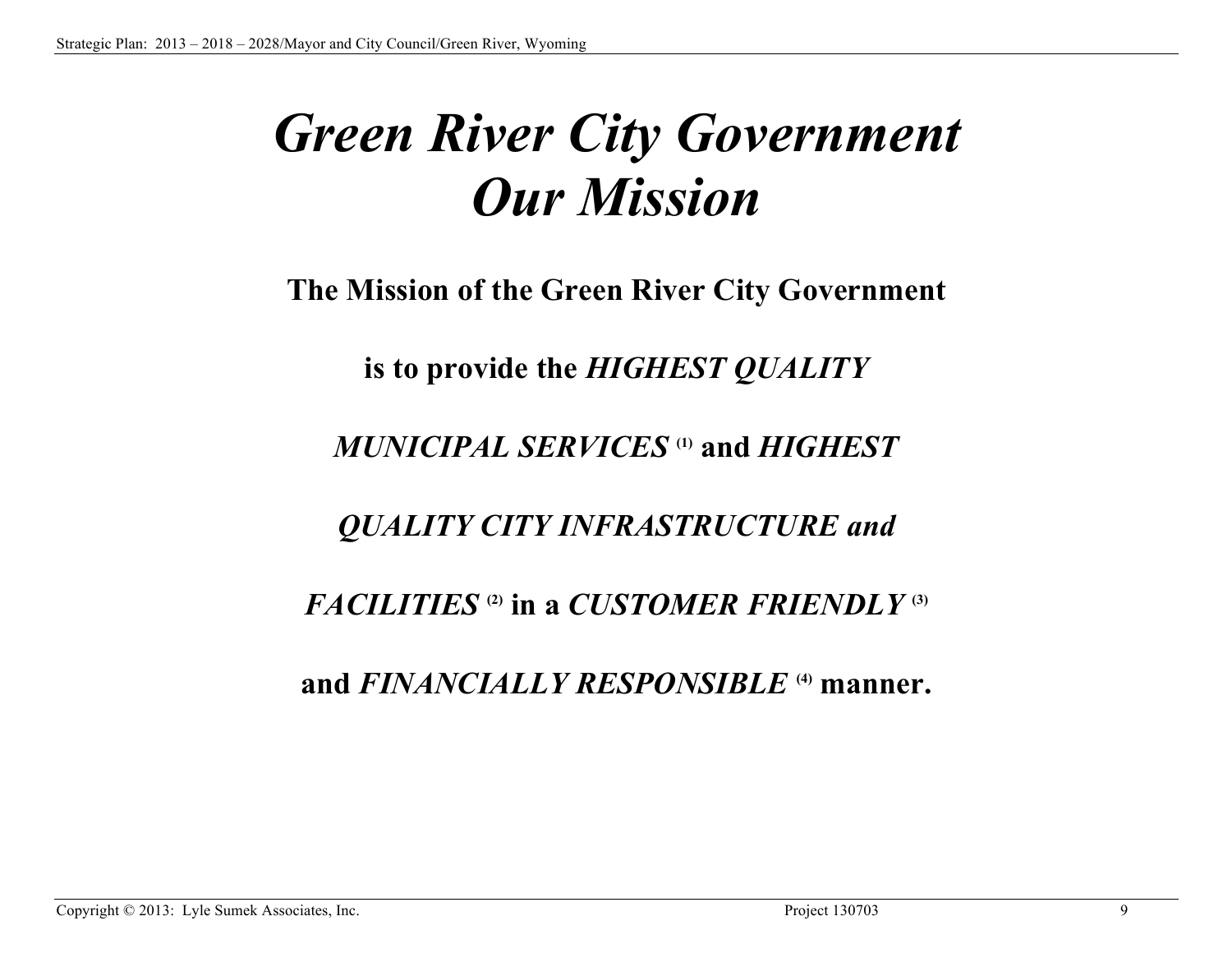# *Green River City Government Our Mission*

**The Mission of the Green River City Government**

**is to provide the** *HIGHEST QUALITY* 

*MUNICIPAL SERVICES* **(1) and** *HIGHEST*

*QUALITY CITY INFRASTRUCTURE and*

*FACILITIES*  $\alpha$ ) in a *CUSTOMER FRIENDLY*  $\alpha$ 

**and** *FINANCIALLY RESPONSIBLE* **(4) manner.**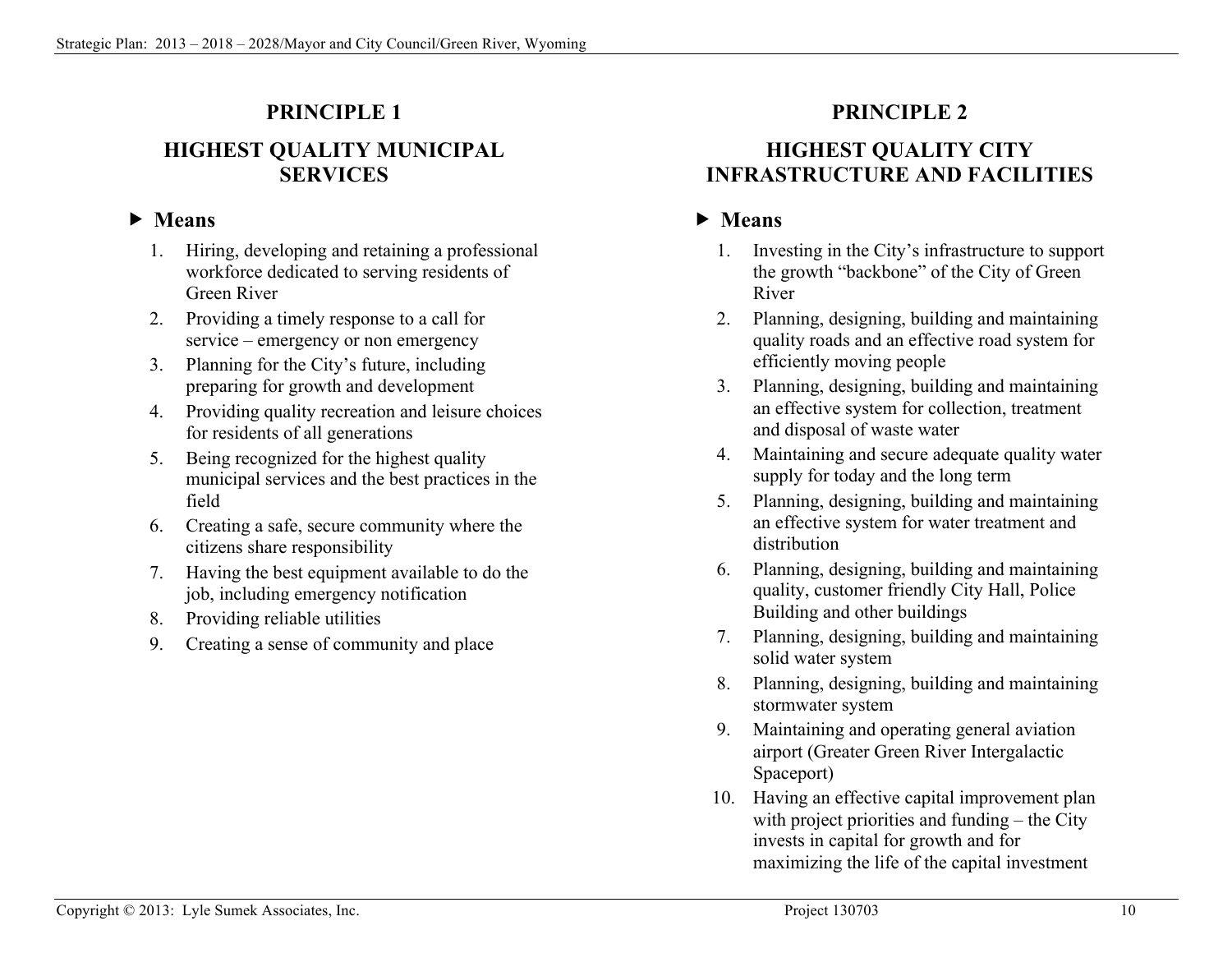# **PRINCIPLE 1**

# **HIGHEST QUALITY MUNICIPAL SERVICES**

# **Means**

- 1. Hiring, developing and retaining a professional workforce dedicated to serving residents of Green River
- 2. Providing a timely response to a call for service – emergency or non emergency
- 3. Planning for the City's future, including preparing for growth and development
- 4. Providing quality recreation and leisure choices for residents of all generations
- 5. Being recognized for the highest quality municipal services and the best practices in the field
- 6. Creating a safe, secure community where the citizens share responsibility
- 7. Having the best equipment available to do the job, including emergency notification
- 8. Providing reliable utilities
- 9. Creating a sense of community and place

# **PRINCIPLE 2**

# **HIGHEST QUALITY CITY INFRASTRUCTURE AND FACILITIES**

- 1. Investing in the City's infrastructure to support the growth "backbone" of the City of Green River
- 2. Planning, designing, building and maintaining quality roads and an effective road system for efficiently moving people
- 3. Planning, designing, building and maintaining an effective system for collection, treatment and disposal of waste water
- 4. Maintaining and secure adequate quality water supply for today and the long term
- 5. Planning, designing, building and maintaining an effective system for water treatment and distribution
- 6. Planning, designing, building and maintaining quality, customer friendly City Hall, Police Building and other buildings
- 7. Planning, designing, building and maintaining solid water system
- 8. Planning, designing, building and maintaining stormwater system
- 9. Maintaining and operating general aviation airport (Greater Green River Intergalactic Spaceport)
- 10. Having an effective capital improvement plan with project priorities and funding – the City invests in capital for growth and for maximizing the life of the capital investment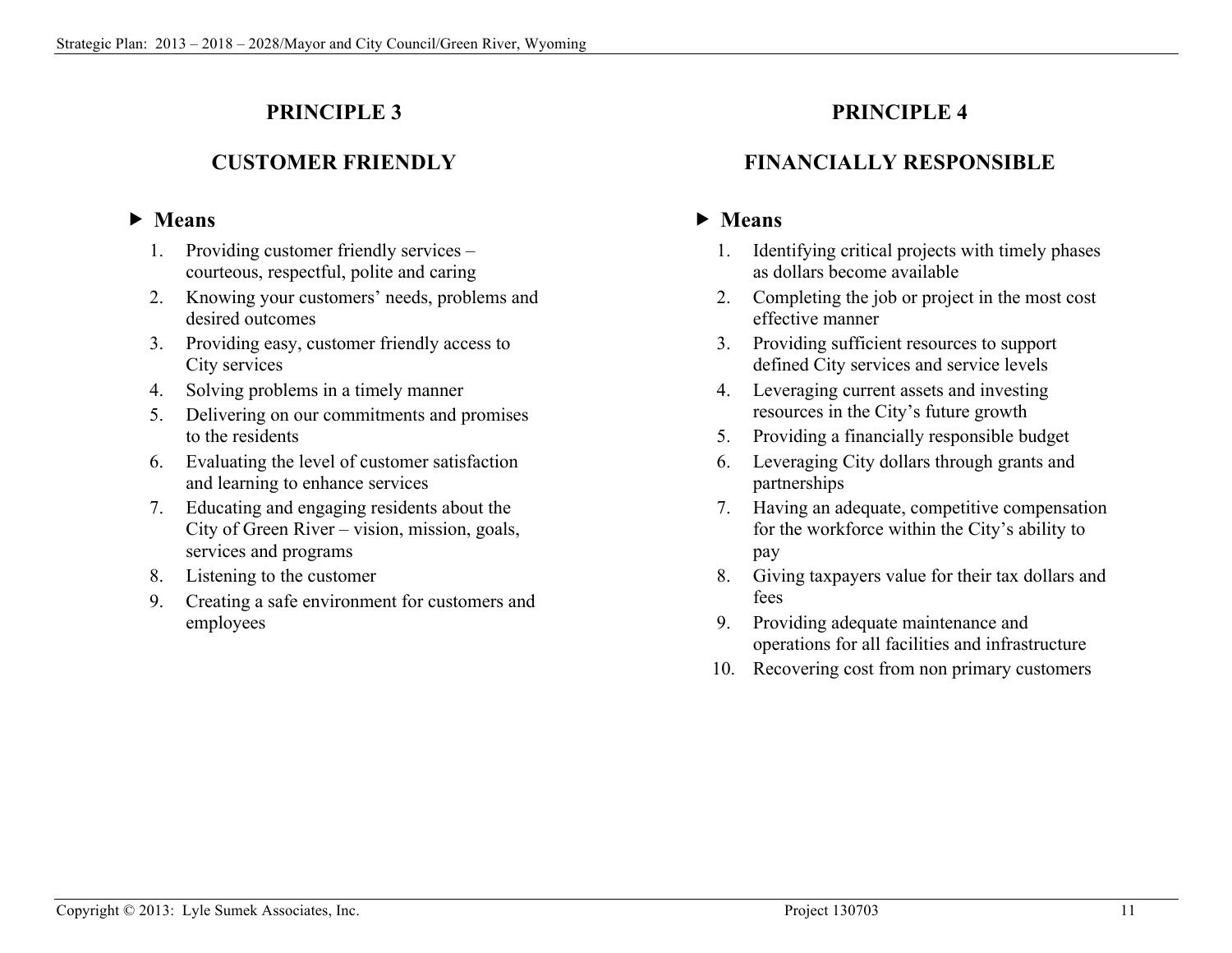# **PRINCIPLE 3**

# **CUSTOMER FRIENDLY**

# **Means**

- 1. Providing customer friendly services courteous, respectful, polite and caring
- 2. Knowing your customers' needs, problems and desired outcomes
- 3. Providing easy, customer friendly access to City services
- 4. Solving problems in a timely manner
- 5. Delivering on our commitments and promises to the residents
- 6. Evaluating the level of customer satisfaction and learning to enhance services
- 7. Educating and engaging residents about the City of Green River – vision, mission, goals, services and programs
- 8. Listening to the customer
- 9. Creating a safe environment for customers and employees

# **PRINCIPLE 4**

# **FINANCIALLY RESPONSIBLE**

- 1. Identifying critical projects with timely phases as dollars become available
- 2. Completing the job or project in the most cost effective manner
- 3. Providing sufficient resources to support defined City services and service levels
- 4. Leveraging current assets and investing resources in the City's future growth
- 5. Providing a financially responsible budget
- 6. Leveraging City dollars through grants and partnerships
- 7. Having an adequate, competitive compensation for the workforce within the City's ability to pay
- 8. Giving taxpayers value for their tax dollars and fees
- 9. Providing adequate maintenance and operations for all facilities and infrastructure
- 10. Recovering cost from non primary customers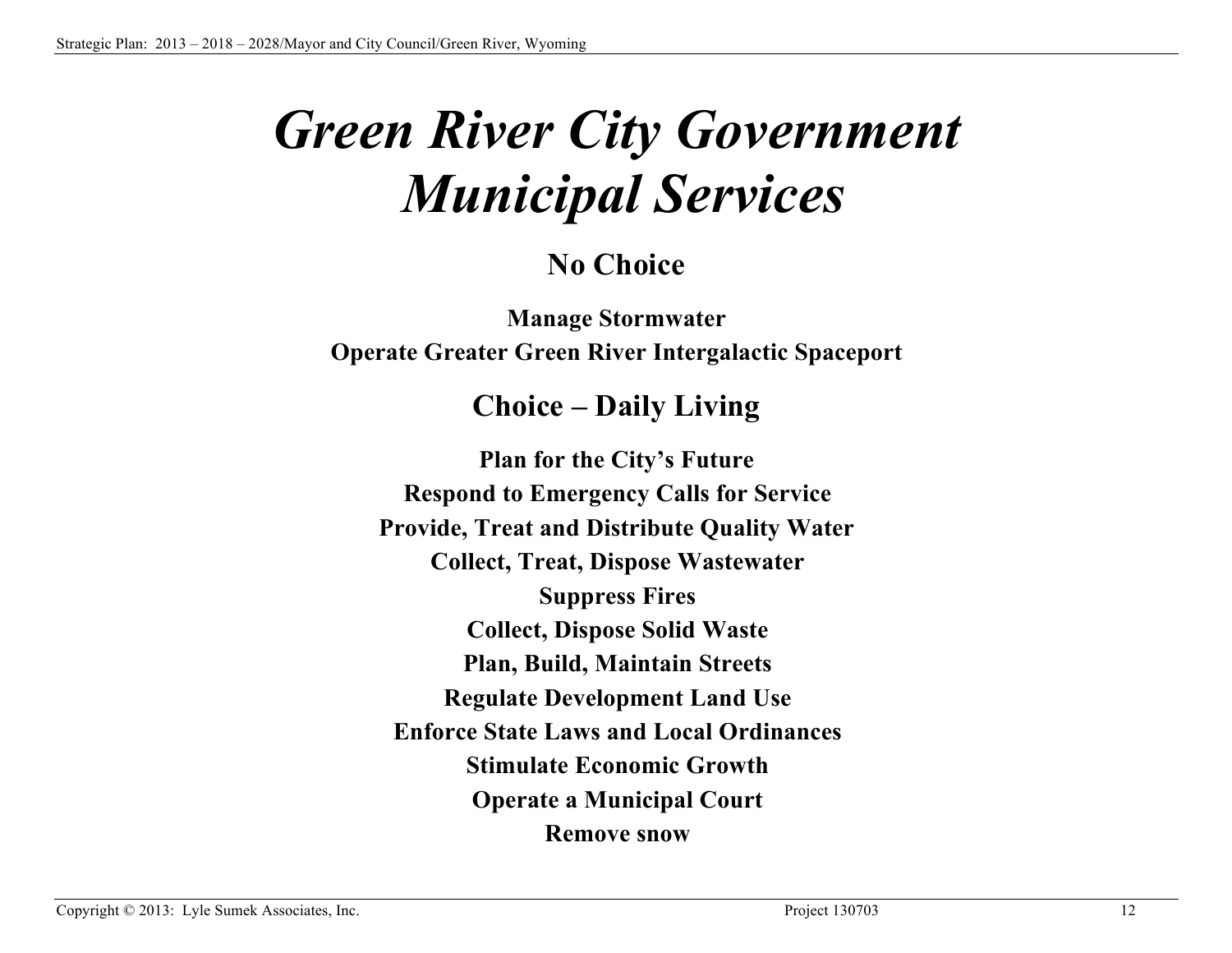# *Green River City Government Municipal Services*

# **No Choice**

**Manage Stormwater Operate Greater Green River Intergalactic Spaceport**

# **Choice – Daily Living**

**Plan for the City's Future Respond to Emergency Calls for Service Provide, Treat and Distribute Quality Water Collect, Treat, Dispose Wastewater Suppress Fires Collect, Dispose Solid Waste Plan, Build, Maintain Streets Regulate Development Land Use Enforce State Laws and Local Ordinances Stimulate Economic Growth Operate a Municipal Court Remove snow**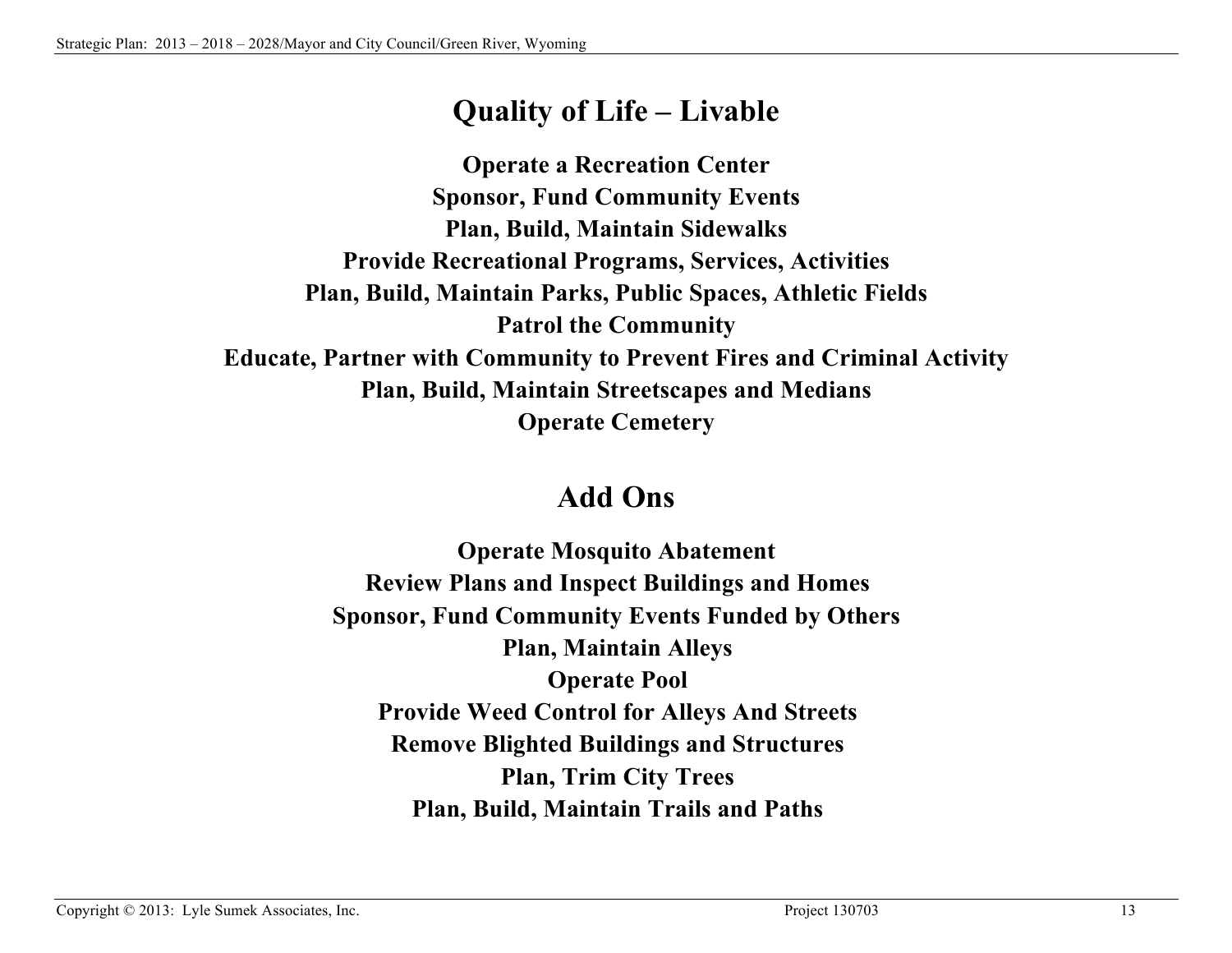# **Quality of Life – Livable**

**Operate a Recreation Center Sponsor, Fund Community Events Plan, Build, Maintain Sidewalks Provide Recreational Programs, Services, Activities Plan, Build, Maintain Parks, Public Spaces, Athletic Fields Patrol the Community Educate, Partner with Community to Prevent Fires and Criminal Activity Plan, Build, Maintain Streetscapes and Medians Operate Cemetery**

# **Add Ons**

**Operate Mosquito Abatement Review Plans and Inspect Buildings and Homes Sponsor, Fund Community Events Funded by Others Plan, Maintain Alleys Operate Pool Provide Weed Control for Alleys And Streets Remove Blighted Buildings and Structures Plan, Trim City Trees Plan, Build, Maintain Trails and Paths**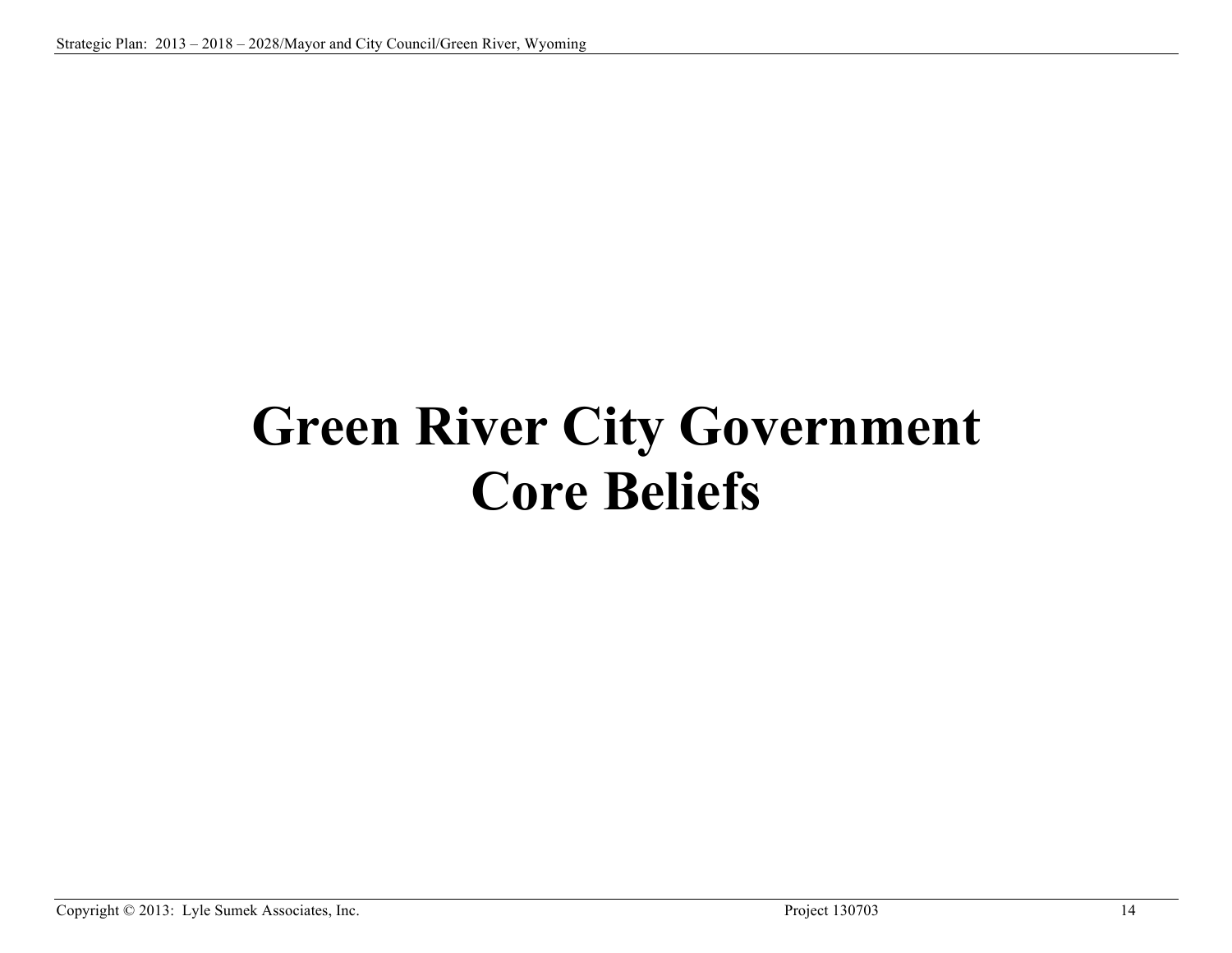# **Green River City Government Core Beliefs**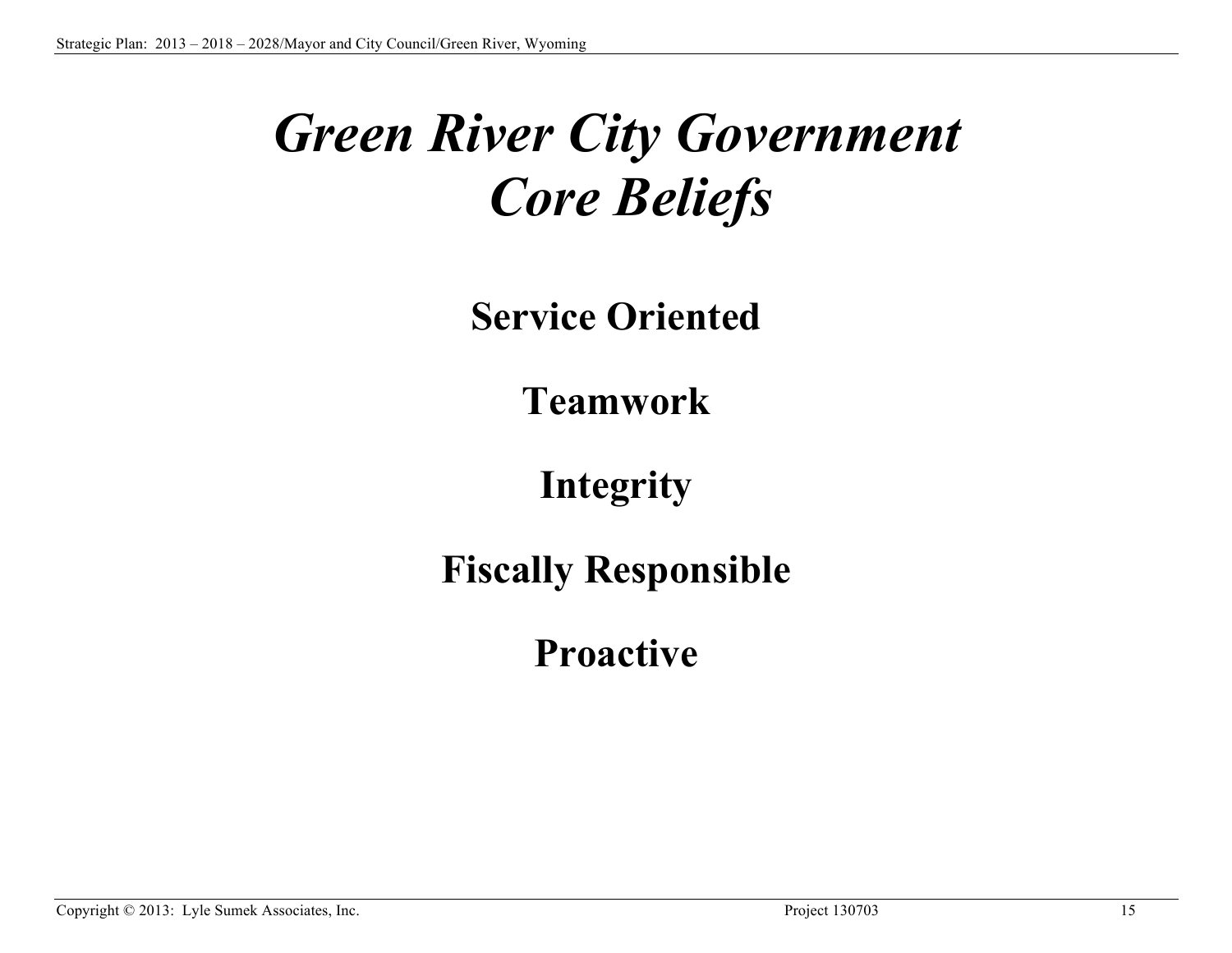# *Green River City Government Core Beliefs*

**Service Oriented**

**Teamwork**

**Integrity**

**Fiscally Responsible** 

**Proactive**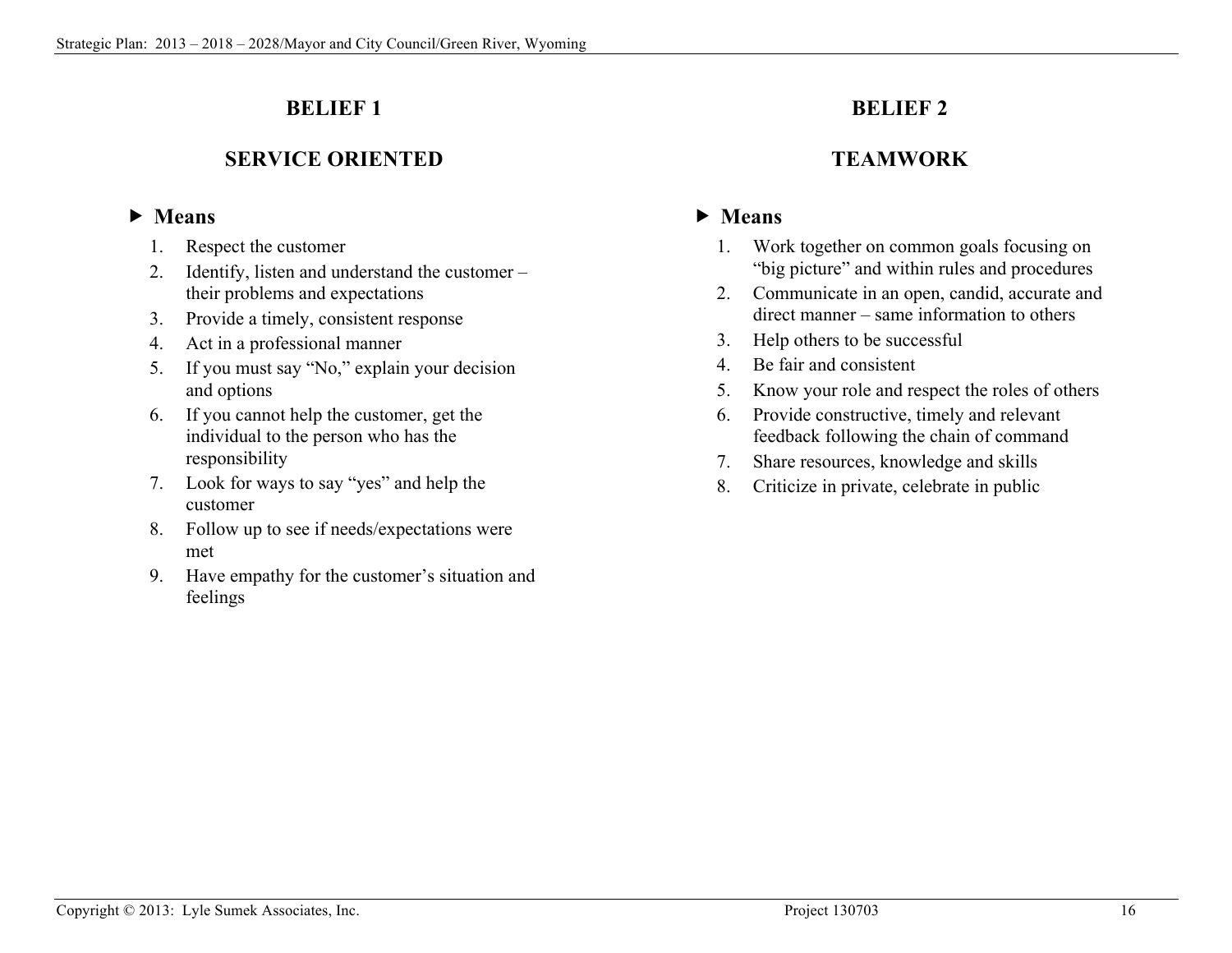# **BELIEF 1**

# **SERVICE ORIENTED**

## **Means**

- 1. Respect the customer
- 2. Identify, listen and understand the customer their problems and expectations
- 3. Provide a timely, consistent response
- 4. Act in a professional manner
- 5. If you must say "No," explain your decision and options
- 6. If you cannot help the customer, get the individual to the person who has the responsibility
- 7. Look for ways to say "yes" and help the customer
- 8. Follow up to see if needs/expectations were met
- 9. Have empathy for the customer's situation and feelings

# **BELIEF 2**

# **TEAMWORK**

- 1. Work together on common goals focusing on "big picture" and within rules and procedures
- 2. Communicate in an open, candid, accurate and direct manner – same information to others
- 3. Help others to be successful
- 4. Be fair and consistent
- 5. Know your role and respect the roles of others
- 6. Provide constructive, timely and relevant feedback following the chain of command
- 7. Share resources, knowledge and skills
- 8. Criticize in private, celebrate in public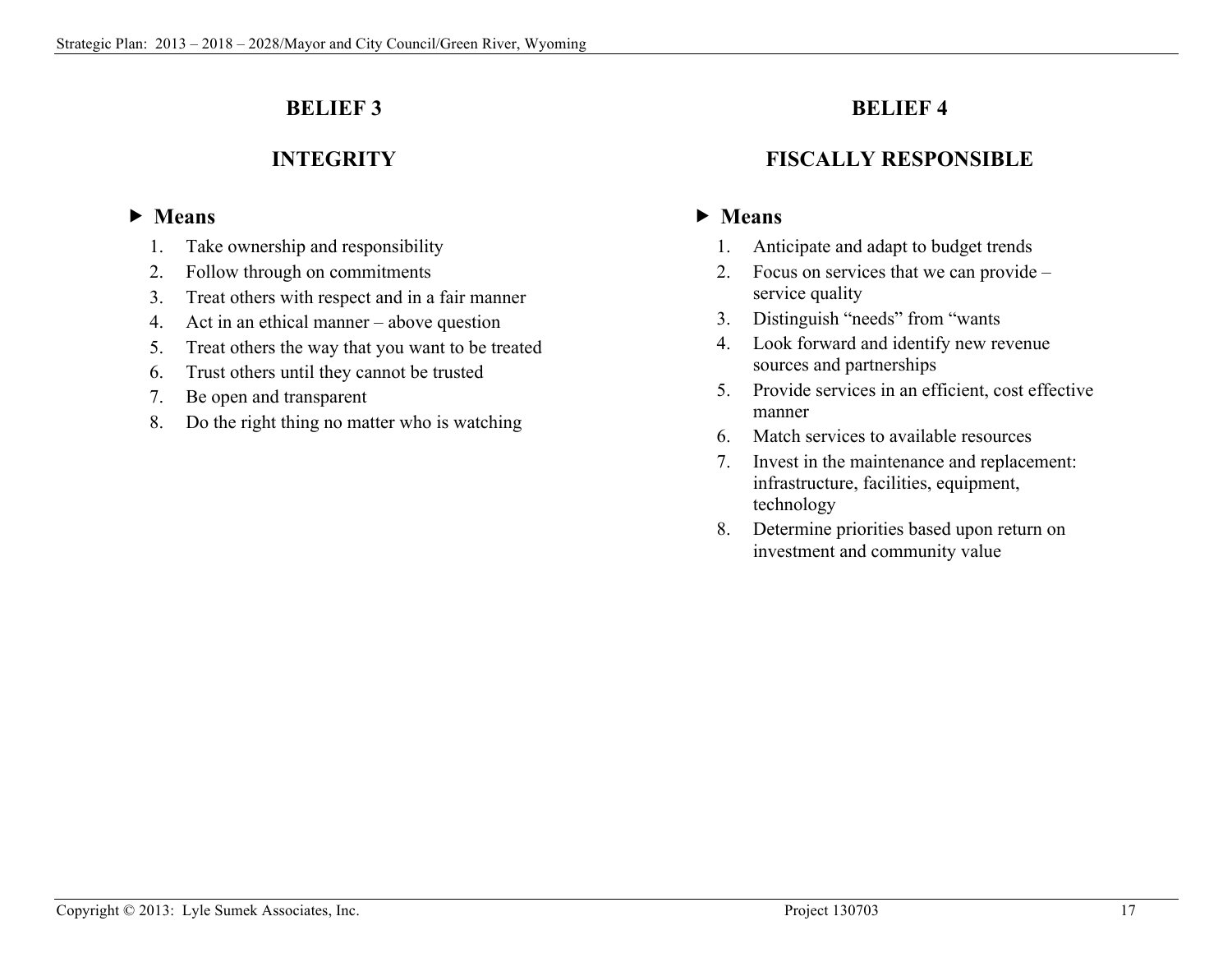# **BELIEF 3**

# **INTEGRITY**

# **Means**

- 1. Take ownership and responsibility
- 2. Follow through on commitments
- 3. Treat others with respect and in a fair manner
- 4. Act in an ethical manner above question
- 5. Treat others the way that you want to be treated
- 6. Trust others until they cannot be trusted
- 7. Be open and transparent
- 8. Do the right thing no matter who is watching

# **BELIEF 4**

# **FISCALLY RESPONSIBLE**

- 1. Anticipate and adapt to budget trends
- 2. Focus on services that we can provide service quality
- 3. Distinguish "needs" from "wants
- 4. Look forward and identify new revenue sources and partnerships
- 5. Provide services in an efficient, cost effective manner
- 6. Match services to available resources
- 7. Invest in the maintenance and replacement: infrastructure, facilities, equipment, technology
- 8. Determine priorities based upon return on investment and community value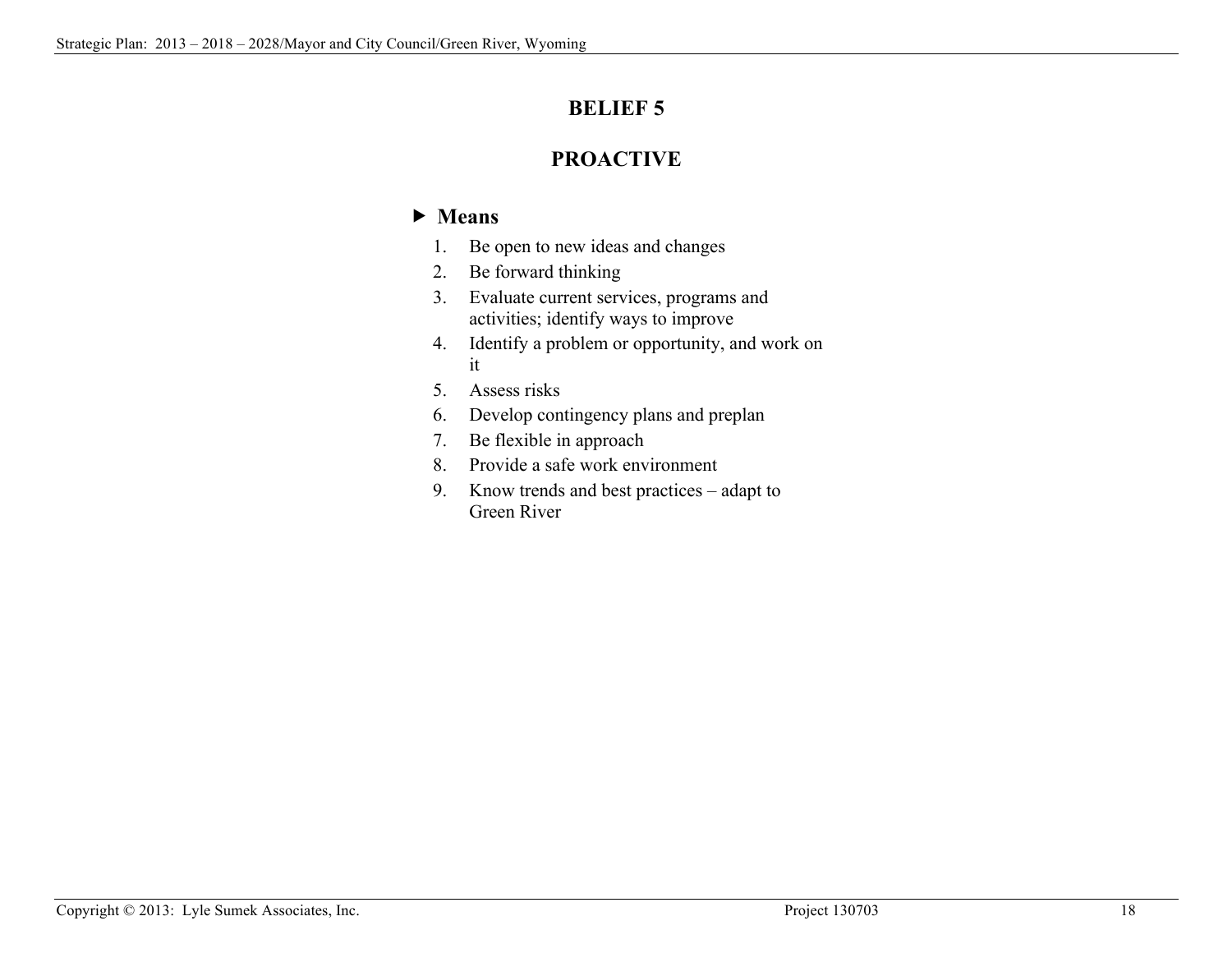# **BELIEF 5**

# **PROACTIVE**

- 1. Be open to new ideas and changes
- 2. Be forward thinking
- 3. Evaluate current services, programs and activities; identify ways to improve
- 4. Identify a problem or opportunity, and work on it
- 5. Assess risks
- 6. Develop contingency plans and preplan
- 7. Be flexible in approach
- 8. Provide a safe work environment
- 9. Know trends and best practices adapt to Green River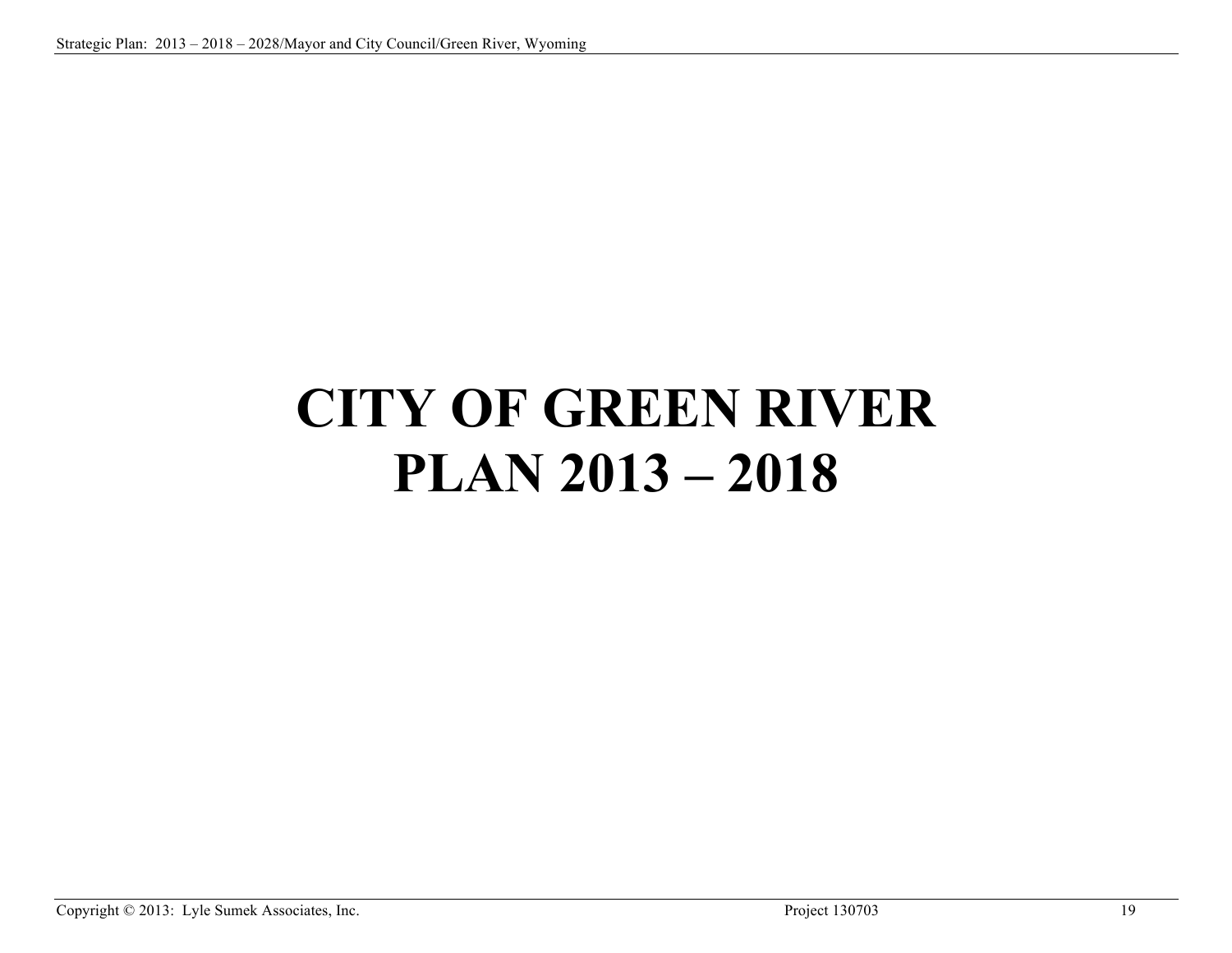# **CITY OF GREEN RIVER PLAN 2013 – 2018**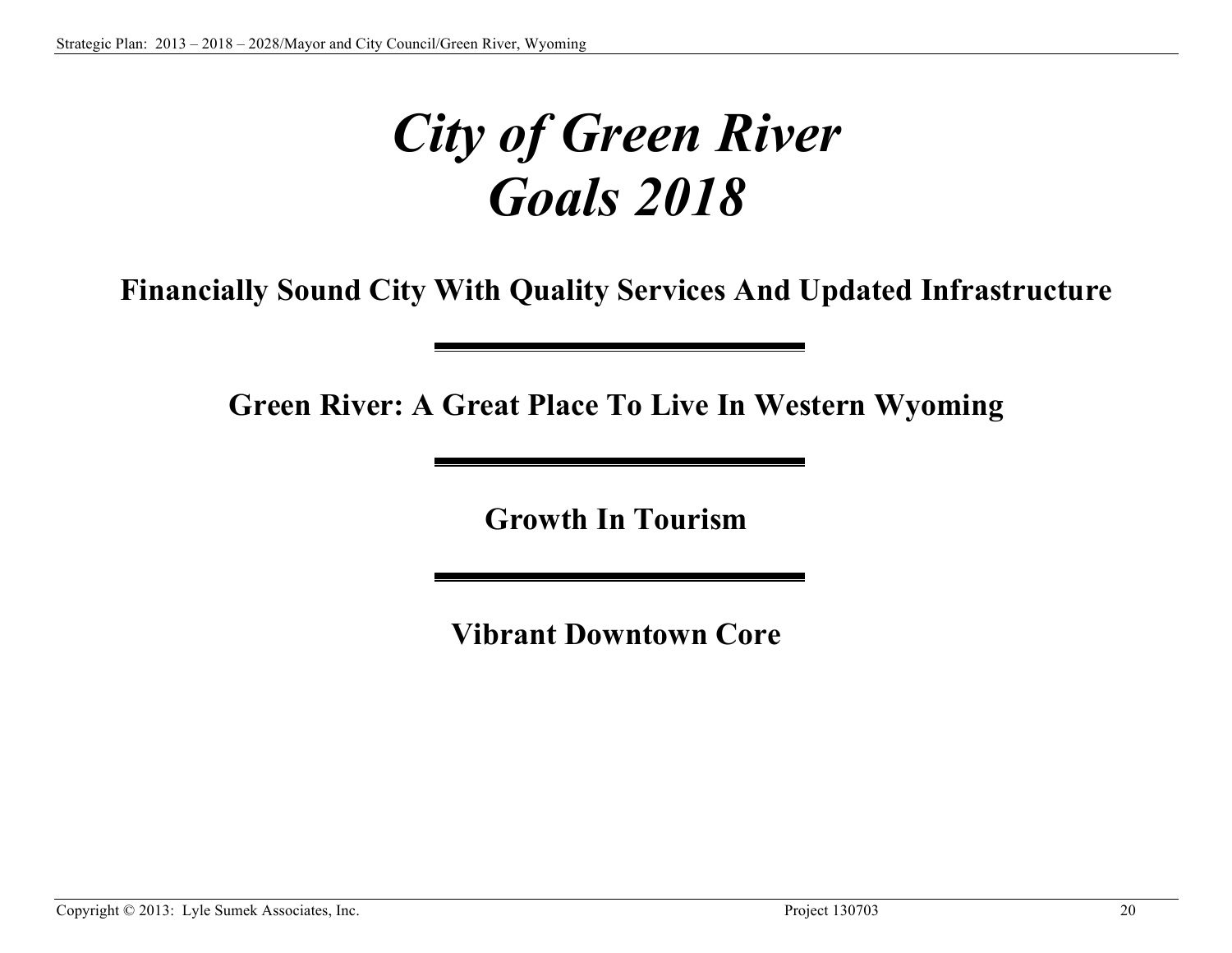# *City of Green River Goals 2018*

**Financially Sound City With Quality Services And Updated Infrastructure**

**Green River: A Great Place To Live In Western Wyoming**

**Growth In Tourism**

**Vibrant Downtown Core**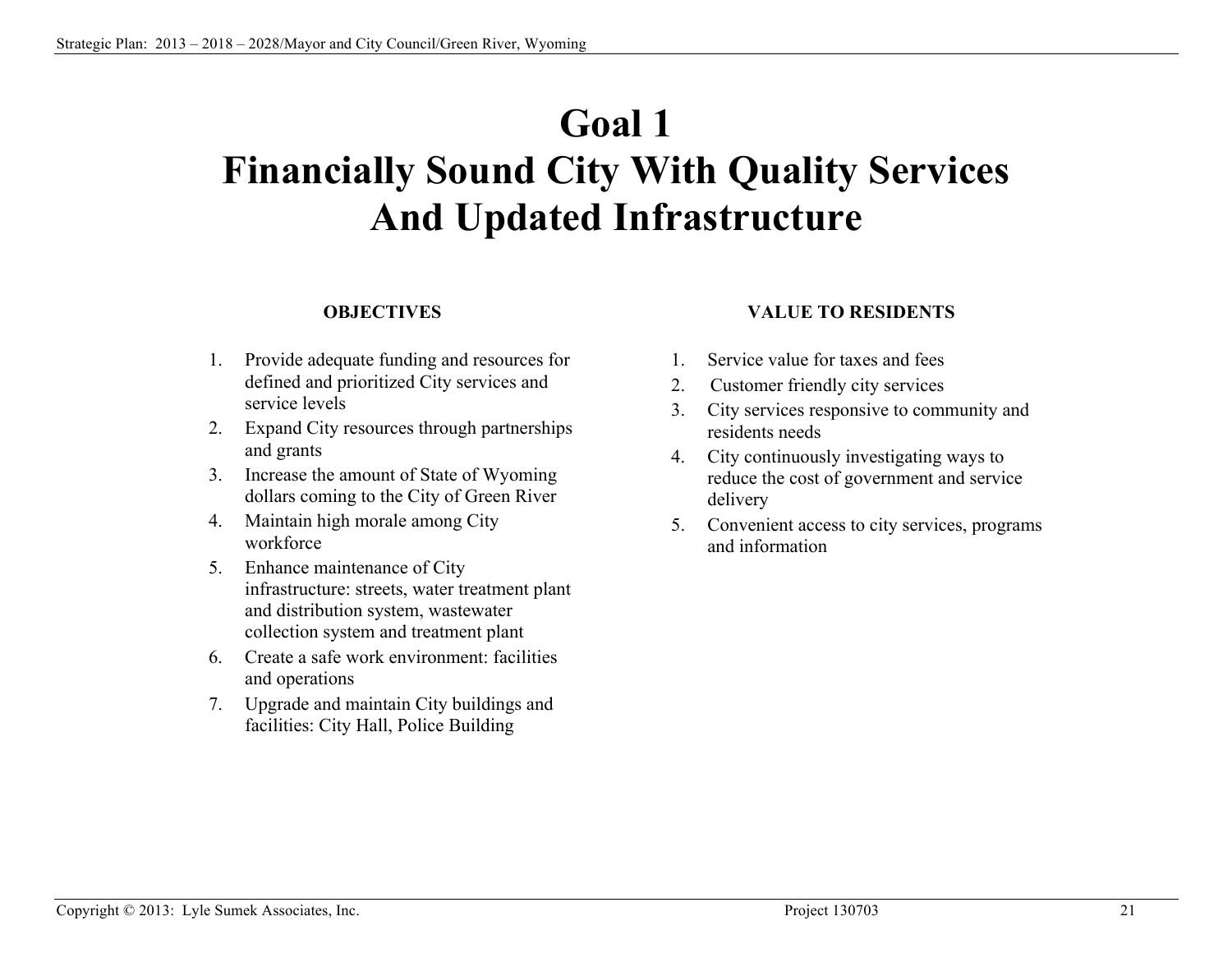# **Goal 1 Financially Sound City With Quality Services And Updated Infrastructure**

#### **OBJECTIVES**

- 1. Provide adequate funding and resources for defined and prioritized City services and service levels
- 2. Expand City resources through partnerships and grants
- 3. Increase the amount of State of Wyoming dollars coming to the City of Green River
- 4. Maintain high morale among City workforce
- 5. Enhance maintenance of City infrastructure: streets, water treatment plant and distribution system, wastewater collection system and treatment plant
- 6. Create a safe work environment: facilities and operations
- 7. Upgrade and maintain City buildings and facilities: City Hall, Police Building

#### **VALUE TO RESIDENTS**

- 1. Service value for taxes and fees
- 2. Customer friendly city services
- 3. City services responsive to community and residents needs
- 4. City continuously investigating ways to reduce the cost of government and service delivery
- 5. Convenient access to city services, programs and information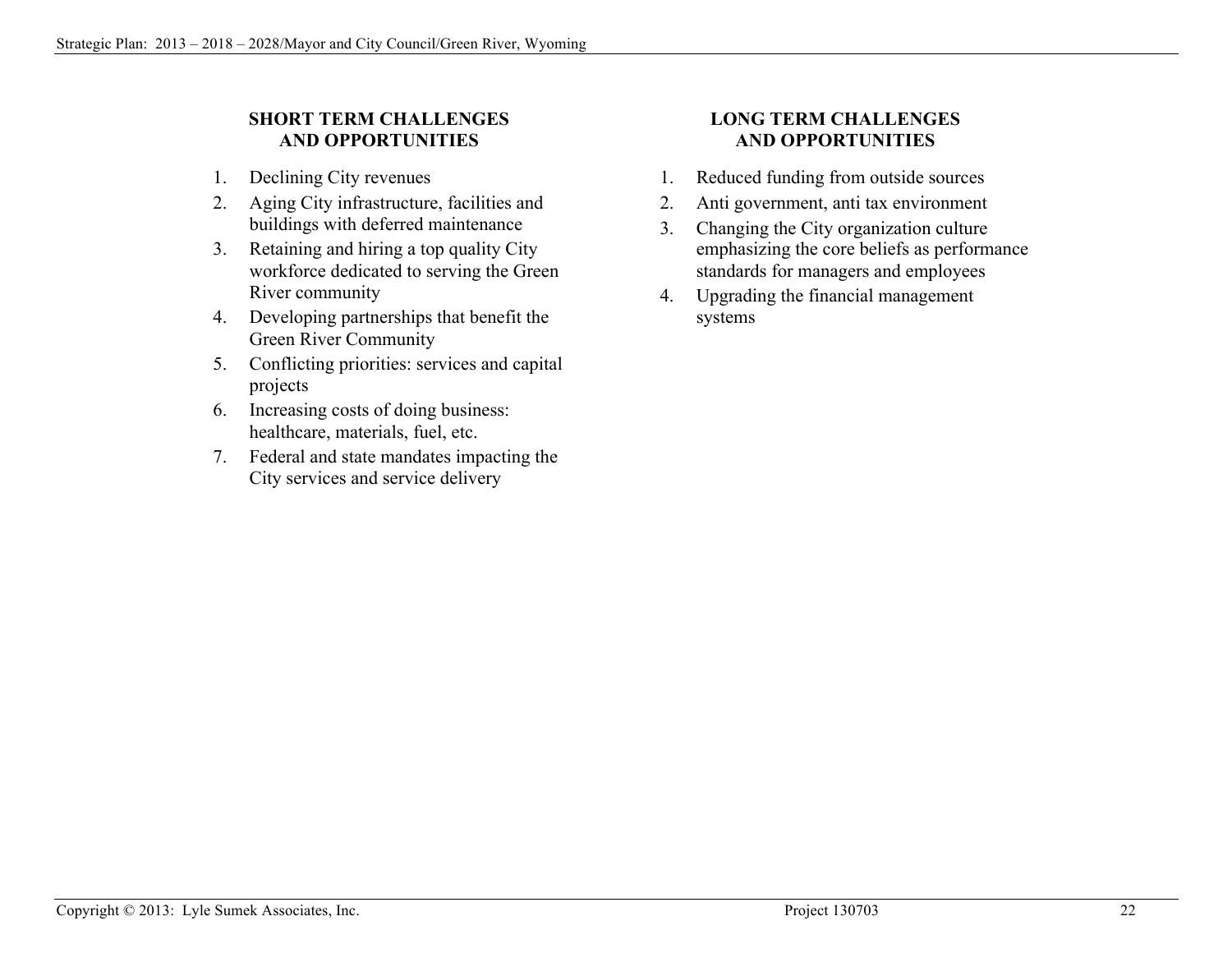### **SHORT TERM CHALLENGES AND OPPORTUNITIES**

- 1. Declining City revenues
- 2. Aging City infrastructure, facilities and buildings with deferred maintenance
- 3. Retaining and hiring a top quality City workforce dedicated to serving the Green River community
- 4. Developing partnerships that benefit the Green River Community
- 5. Conflicting priorities: services and capital projects
- 6. Increasing costs of doing business: healthcare, materials, fuel, etc.
- 7. Federal and state mandates impacting the City services and service delivery

### **LONG TERM CHALLENGES AND OPPORTUNITIES**

- 1. Reduced funding from outside sources
- 2. Anti government, anti tax environment
- 3. Changing the City organization culture emphasizing the core beliefs as performance standards for managers and employees
- 4. Upgrading the financial management systems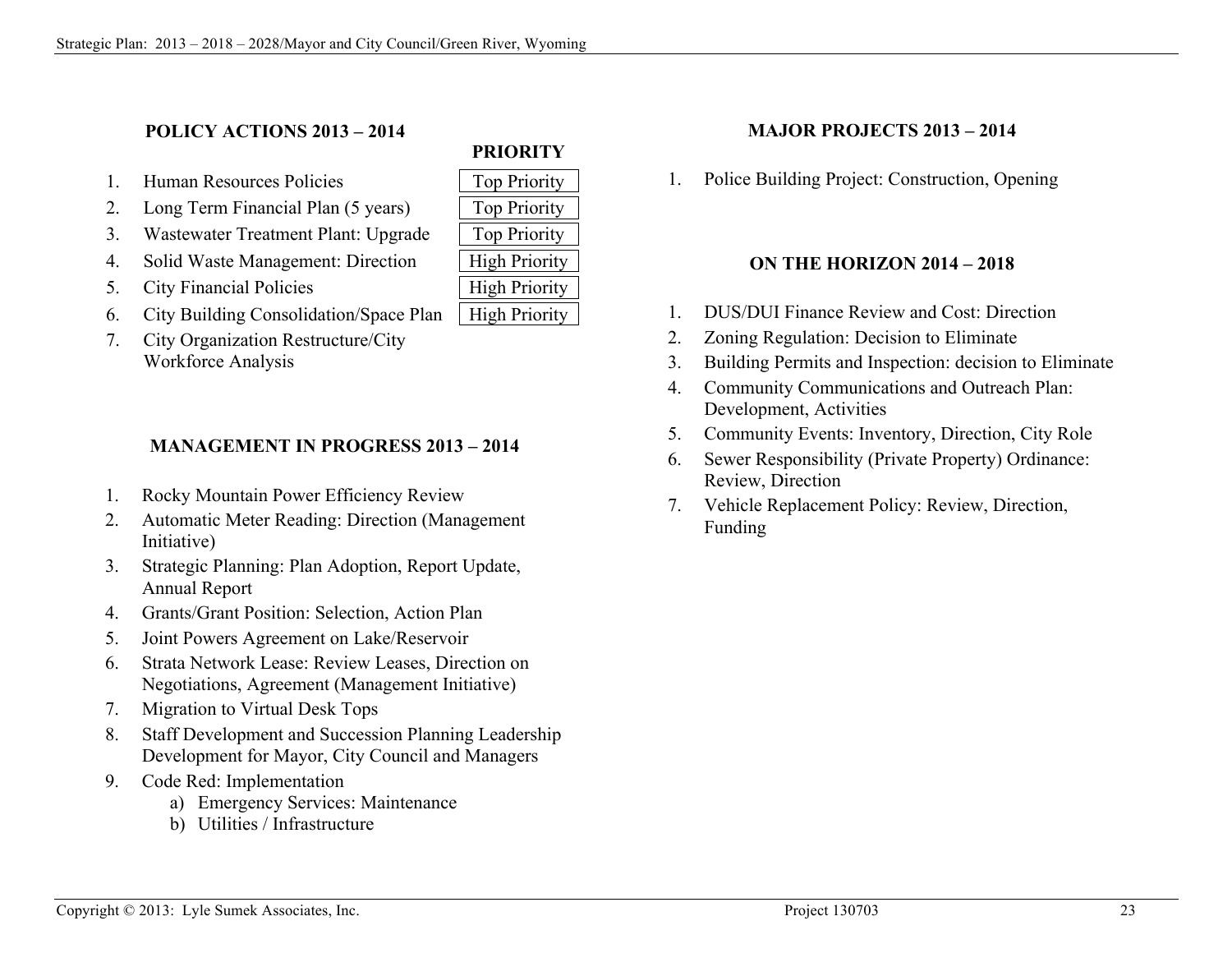### **POLICY ACTIONS 2013 – 2014**

- 1. Human Resources Policies 70 | Top Priority
- 2. Long Term Financial Plan (5 years) Top Priority
- 3. Wastewater Treatment Plant: Upgrade | Top Priority
- 4. Solid Waste Management: Direction | High Priority
- 5. City Financial Policies | High Priority
- 6. City Building Consolidation/Space Plan | High Priority
- 7. City Organization Restructure/City Workforce Analysis

### **MANAGEMENT IN PROGRESS 2013 – 2014**

- 1. Rocky Mountain Power Efficiency Review
- 2. Automatic Meter Reading: Direction (Management Initiative)
- 3. Strategic Planning: Plan Adoption, Report Update, Annual Report
- 4. Grants/Grant Position: Selection, Action Plan
- 5. Joint Powers Agreement on Lake/Reservoir
- 6. Strata Network Lease: Review Leases, Direction on Negotiations, Agreement (Management Initiative)
- 7. Migration to Virtual Desk Tops
- 8. Staff Development and Succession Planning Leadership Development for Mayor, City Council and Managers
- 9. Code Red: Implementation
	- a) Emergency Services: Maintenance
	- b) Utilities / Infrastructure

# **MAJOR PROJECTS 2013 – 2014**

**PRIORITY**

1. Police Building Project: Construction, Opening

#### **ON THE HORIZON 2014 – 2018**

- 1. DUS/DUI Finance Review and Cost: Direction
- 2. Zoning Regulation: Decision to Eliminate
- 3. Building Permits and Inspection: decision to Eliminate
- 4. Community Communications and Outreach Plan: Development, Activities
- 5. Community Events: Inventory, Direction, City Role
- 6. Sewer Responsibility (Private Property) Ordinance: Review, Direction
- 7. Vehicle Replacement Policy: Review, Direction, Funding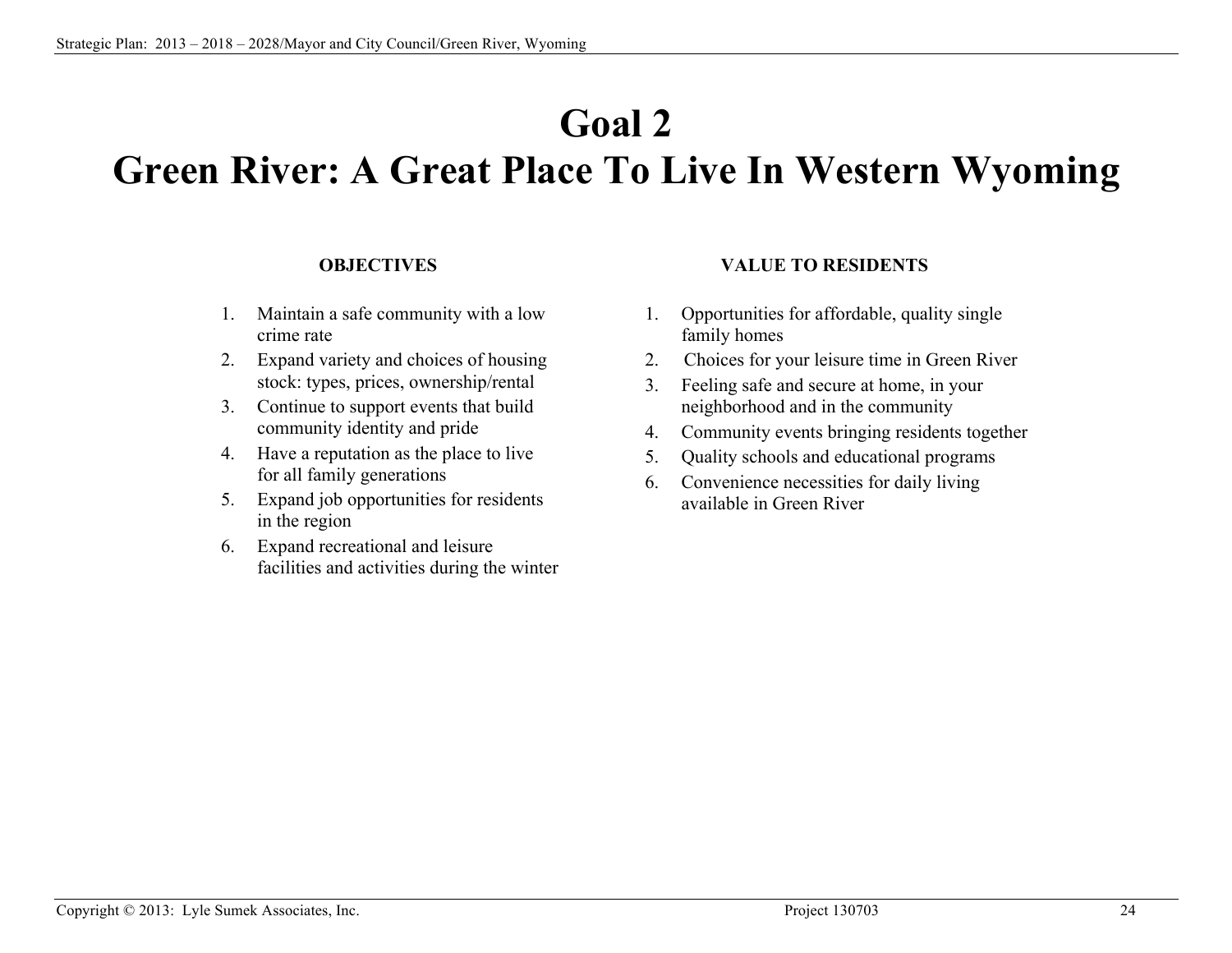# **Goal 2**

# **Green River: A Great Place To Live In Western Wyoming**

#### **OBJECTIVES**

- 1. Maintain a safe community with a low crime rate
- 2. Expand variety and choices of housing stock: types, prices, ownership/rental
- 3. Continue to support events that build community identity and pride
- 4. Have a reputation as the place to live for all family generations
- 5. Expand job opportunities for residents in the region
- 6. Expand recreational and leisure facilities and activities during the winter

#### **VALUE TO RESIDENTS**

- 1. Opportunities for affordable, quality single family homes
- 2. Choices for your leisure time in Green River
- 3. Feeling safe and secure at home, in your neighborhood and in the community
- 4. Community events bringing residents together
- 5. Quality schools and educational programs
- 6. Convenience necessities for daily living available in Green River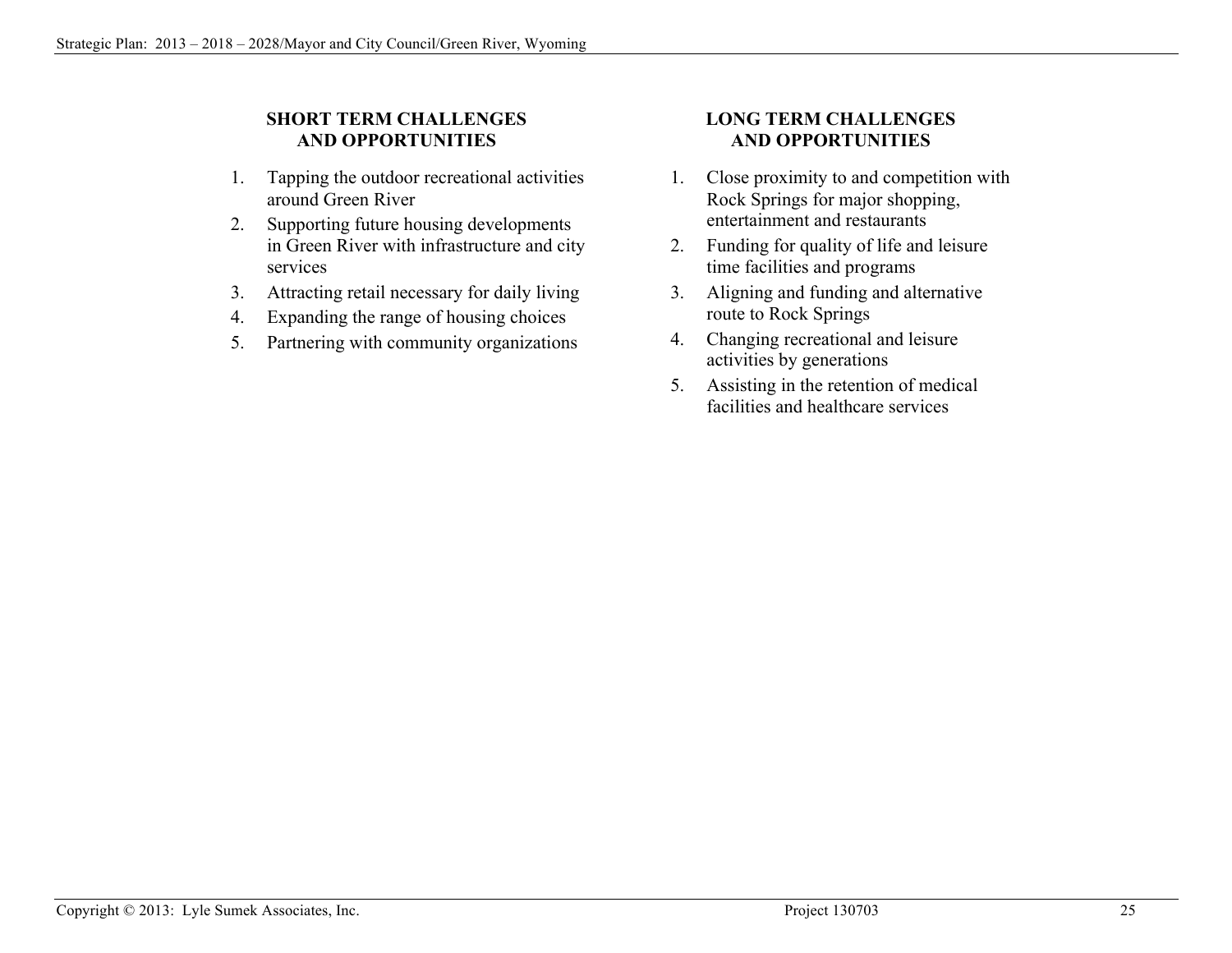### **SHORT TERM CHALLENGES AND OPPORTUNITIES**

- 1. Tapping the outdoor recreational activities around Green River
- 2. Supporting future housing developments in Green River with infrastructure and city services
- 3. Attracting retail necessary for daily living
- 4. Expanding the range of housing choices
- 5. Partnering with community organizations

### **LONG TERM CHALLENGES AND OPPORTUNITIES**

- 1. Close proximity to and competition with Rock Springs for major shopping, entertainment and restaurants
- 2. Funding for quality of life and leisure time facilities and programs
- 3. Aligning and funding and alternative route to Rock Springs
- 4. Changing recreational and leisure activities by generations
- 5. Assisting in the retention of medical facilities and healthcare services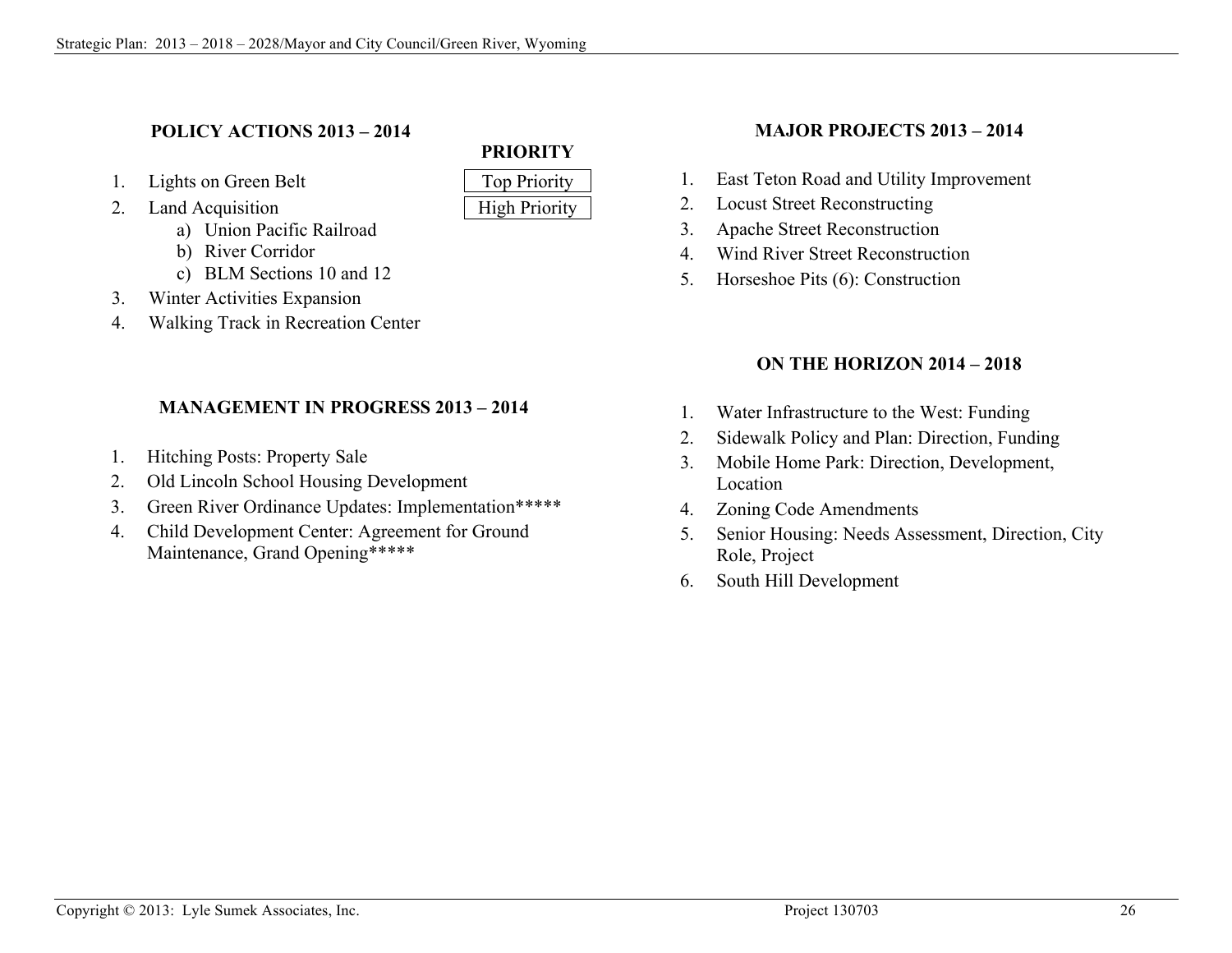### **POLICY ACTIONS 2013 – 2014**

- 1. Lights on Green Belt Top Priority
- 2. Land Acquisition High Priority
	- a) Union Pacific Railroad
	- b) River Corridor
	- c) BLM Sections 10 and 12
- 3. Winter Activities Expansion
- 4. Walking Track in Recreation Center

## **MANAGEMENT IN PROGRESS 2013 – 2014**

- 1. Hitching Posts: Property Sale
- 2. Old Lincoln School Housing Development
- 3. Green River Ordinance Updates: Implementation\*\*\*\*\*
- 4. Child Development Center: Agreement for Ground Maintenance, Grand Opening\*\*\*\*\*

# **PRIORITY**

### **MAJOR PROJECTS 2013 – 2014**

- 1. East Teton Road and Utility Improvement
- 2. Locust Street Reconstructing
- 3. Apache Street Reconstruction
- 4. Wind River Street Reconstruction
- 5. Horseshoe Pits (6): Construction

## **ON THE HORIZON 2014 – 2018**

- 1. Water Infrastructure to the West: Funding
- 2. Sidewalk Policy and Plan: Direction, Funding
- 3. Mobile Home Park: Direction, Development, Location
- 4. Zoning Code Amendments
- 5. Senior Housing: Needs Assessment, Direction, City Role, Project
- 6. South Hill Development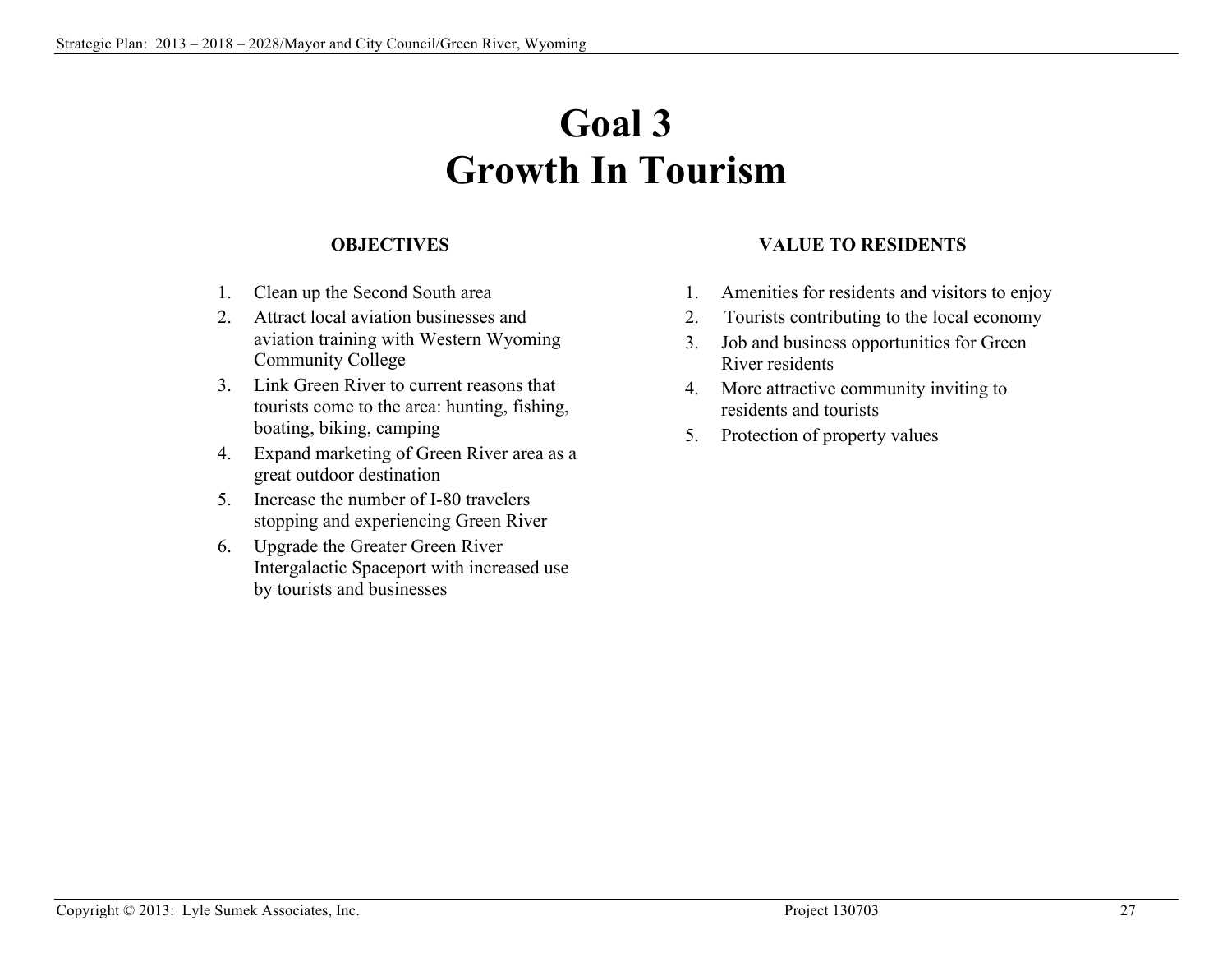# **Goal 3 Growth In Tourism**

#### **OBJECTIVES**

- 1. Clean up the Second South area
- 2. Attract local aviation businesses and aviation training with Western Wyoming Community College
- 3. Link Green River to current reasons that tourists come to the area: hunting, fishing, boating, biking, camping
- 4. Expand marketing of Green River area as a great outdoor destination
- 5. Increase the number of I-80 travelers stopping and experiencing Green River
- 6. Upgrade the Greater Green River Intergalactic Spaceport with increased use by tourists and businesses

### **VALUE TO RESIDENTS**

- 1. Amenities for residents and visitors to enjoy
- 2. Tourists contributing to the local economy
- 3. Job and business opportunities for Green River residents
- 4. More attractive community inviting to residents and tourists
- 5. Protection of property values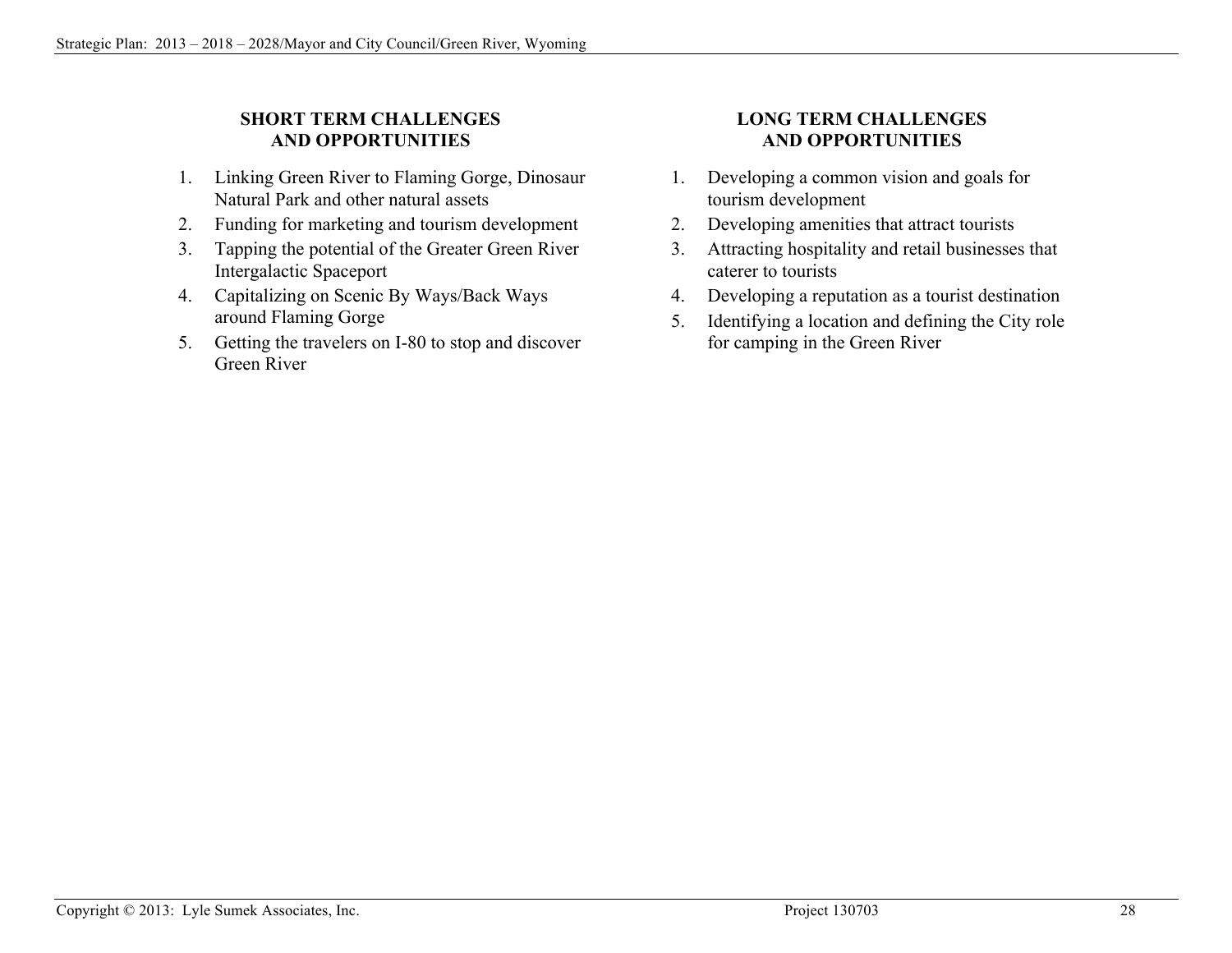### **SHORT TERM CHALLENGES AND OPPORTUNITIES**

- 1. Linking Green River to Flaming Gorge, Dinosaur Natural Park and other natural assets
- 2. Funding for marketing and tourism development
- 3. Tapping the potential of the Greater Green River Intergalactic Spaceport
- 4. Capitalizing on Scenic By Ways/Back Ways around Flaming Gorge
- 5. Getting the travelers on I-80 to stop and discover Green River

### **LONG TERM CHALLENGES AND OPPORTUNITIES**

- 1. Developing a common vision and goals for tourism development
- 2. Developing amenities that attract tourists
- 3. Attracting hospitality and retail businesses that caterer to tourists
- 4. Developing a reputation as a tourist destination
- 5. Identifying a location and defining the City role for camping in the Green River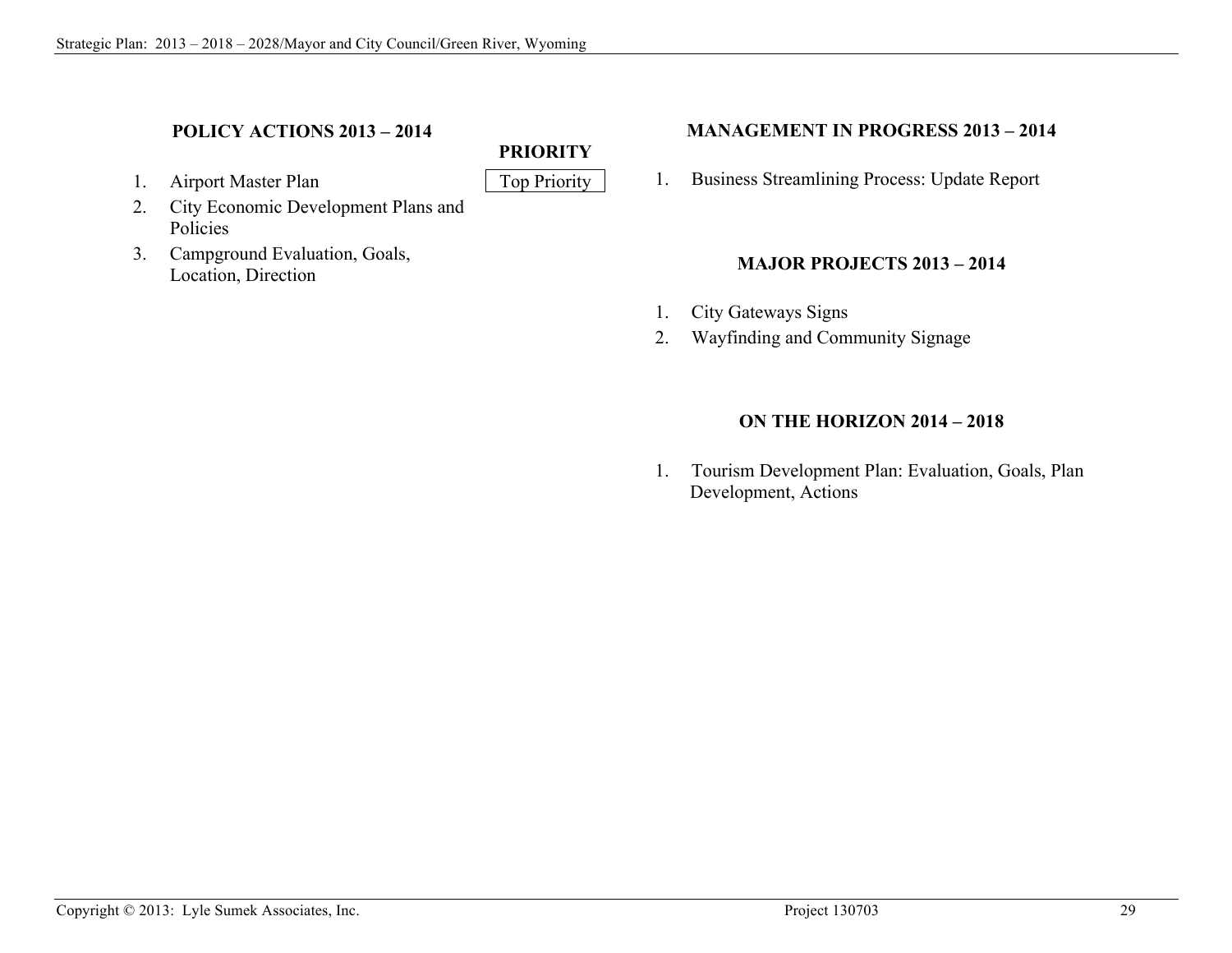### **POLICY ACTIONS 2013 – 2014**

- 1. Airport Master Plan Top Priority
- 2. City Economic Development Plans and Policies
- 3. Campground Evaluation, Goals, Location, Direction

### **MANAGEMENT IN PROGRESS 2013 – 2014**

1. Business Streamlining Process: Update Report

### **MAJOR PROJECTS 2013 – 2014**

1. City Gateways Signs

**PRIORITY**

2. Wayfinding and Community Signage

### **ON THE HORIZON 2014 – 2018**

1. Tourism Development Plan: Evaluation, Goals, Plan Development, Actions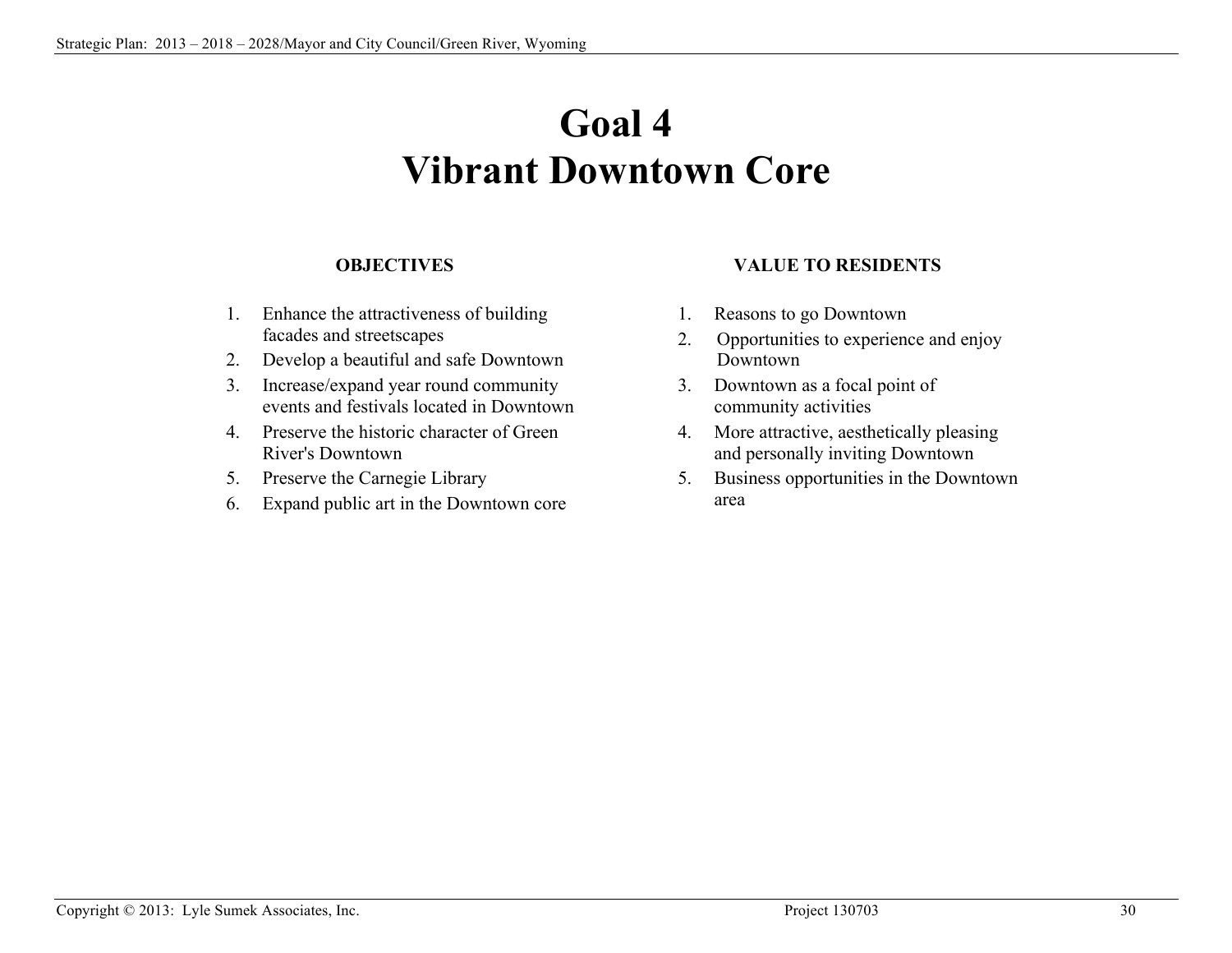# **Goal 4 Vibrant Downtown Core**

#### **OBJECTIVES**

- 1. Enhance the attractiveness of building facades and streetscapes
- 2. Develop a beautiful and safe Downtown
- 3. Increase/expand year round community events and festivals located in Downtown
- 4. Preserve the historic character of Green River's Downtown
- 5. Preserve the Carnegie Library
- 6. Expand public art in the Downtown core

#### **VALUE TO RESIDENTS**

- 1. Reasons to go Downtown
- 2. Opportunities to experience and enjoy Downtown
- 3. Downtown as a focal point of community activities
- 4. More attractive, aesthetically pleasing and personally inviting Downtown
- 5. Business opportunities in the Downtown area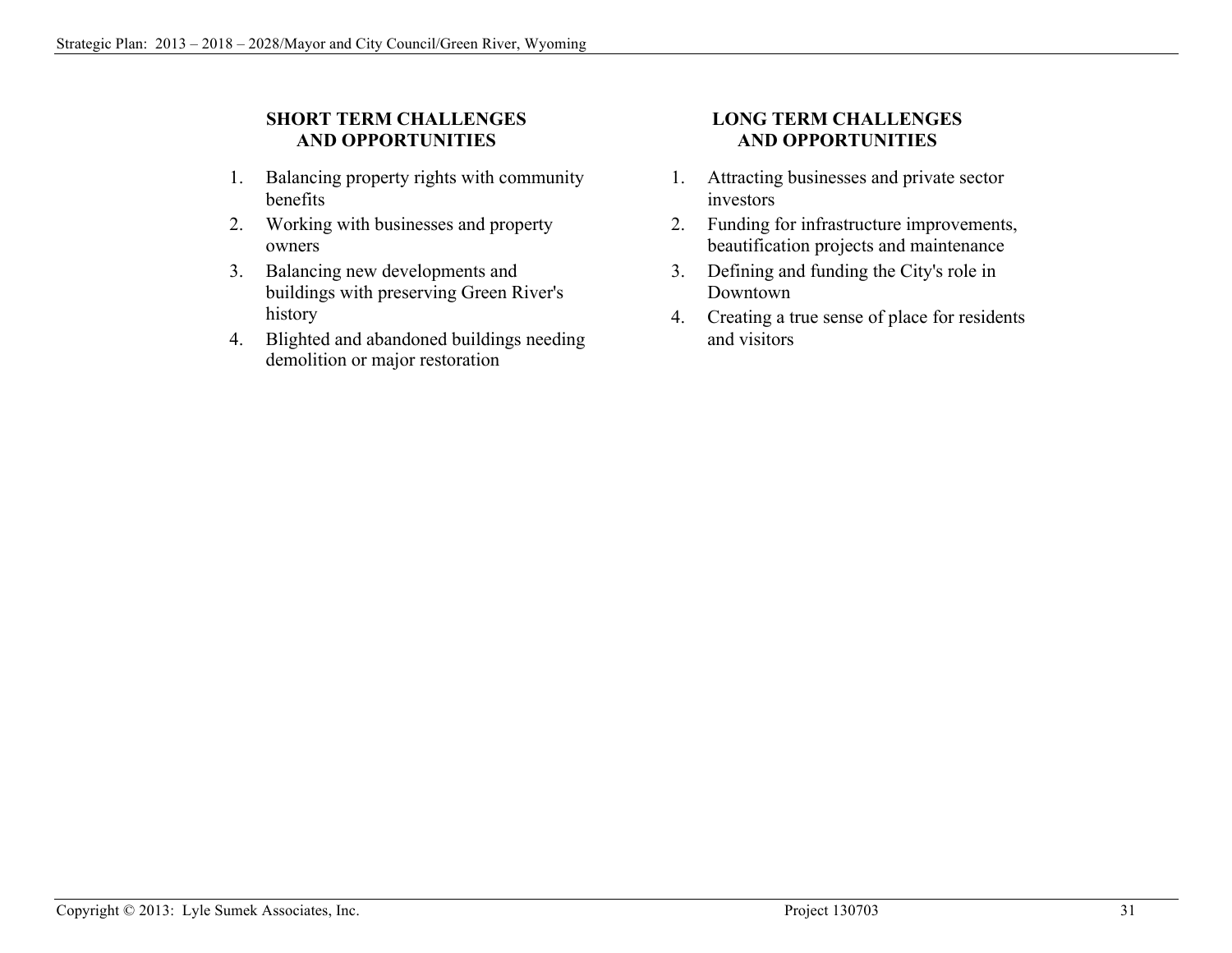### **SHORT TERM CHALLENGES AND OPPORTUNITIES**

- 1. Balancing property rights with community benefits
- 2. Working with businesses and property owners
- 3. Balancing new developments and buildings with preserving Green River's history
- 4. Blighted and abandoned buildings needing demolition or major restoration

### **LONG TERM CHALLENGES AND OPPORTUNITIES**

- 1. Attracting businesses and private sector investors
- 2. Funding for infrastructure improvements, beautification projects and maintenance
- 3. Defining and funding the City's role in Downtown
- 4. Creating a true sense of place for residents and visitors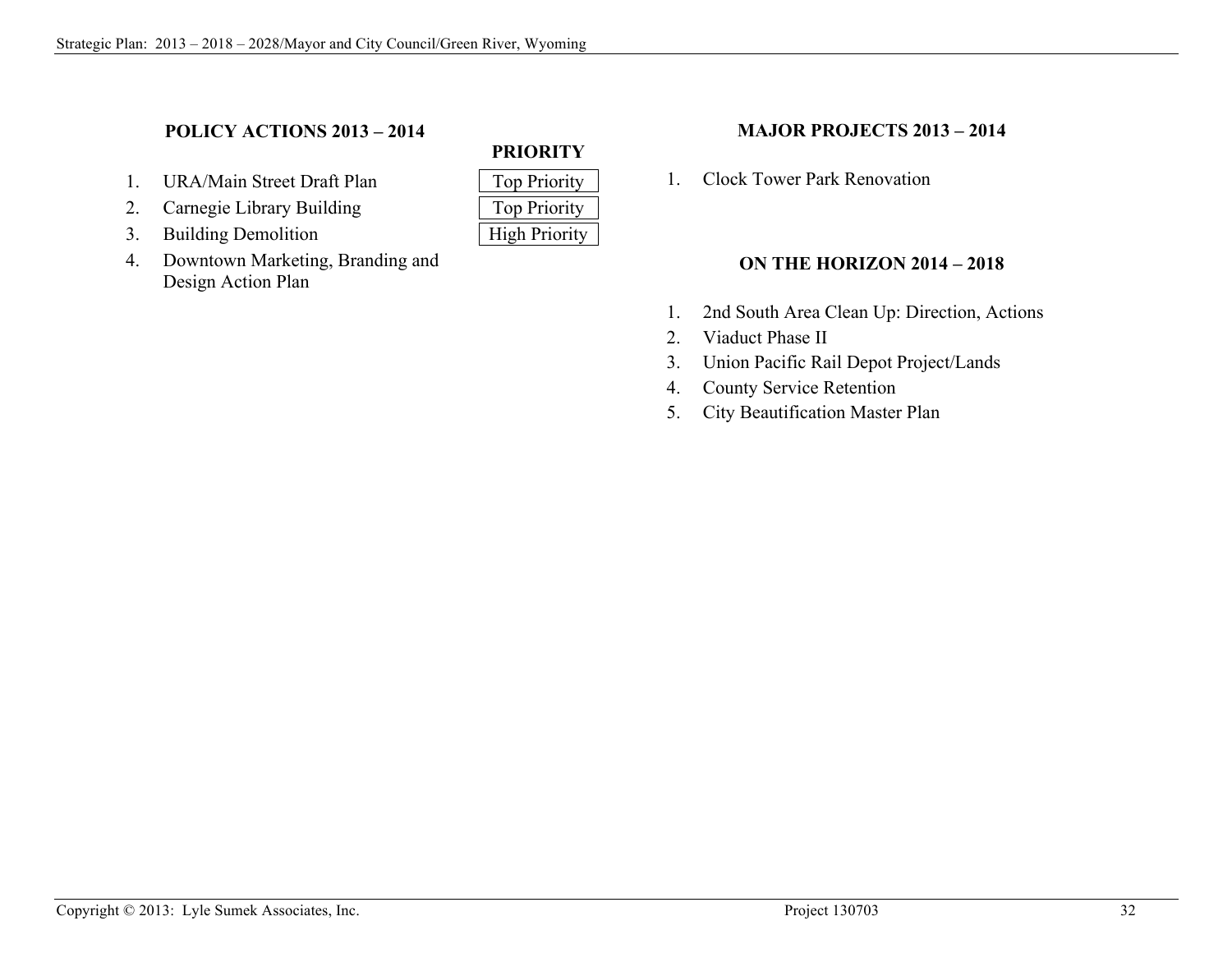### **POLICY ACTIONS 2013 – 2014**

- 1. URA/Main Street Draft Plan
- 2. Carnegie Library Building
- 3. Building Demolition
- 4. Downtown Marketing, Branding and Design Action Plan

| <b>Top Priority</b>  |
|----------------------|
| <b>Top Priority</b>  |
| <b>High Priority</b> |

**PRIORITY**

#### **MAJOR PROJECTS 2013 – 2014**

1. Clock Tower Park Renovation

#### **ON THE HORIZON 2014 – 2018**

- 1. 2nd South Area Clean Up: Direction, Actions
- 2. Viaduct Phase II
- 3. Union Pacific Rail Depot Project/Lands
- 4. County Service Retention
- 5. City Beautification Master Plan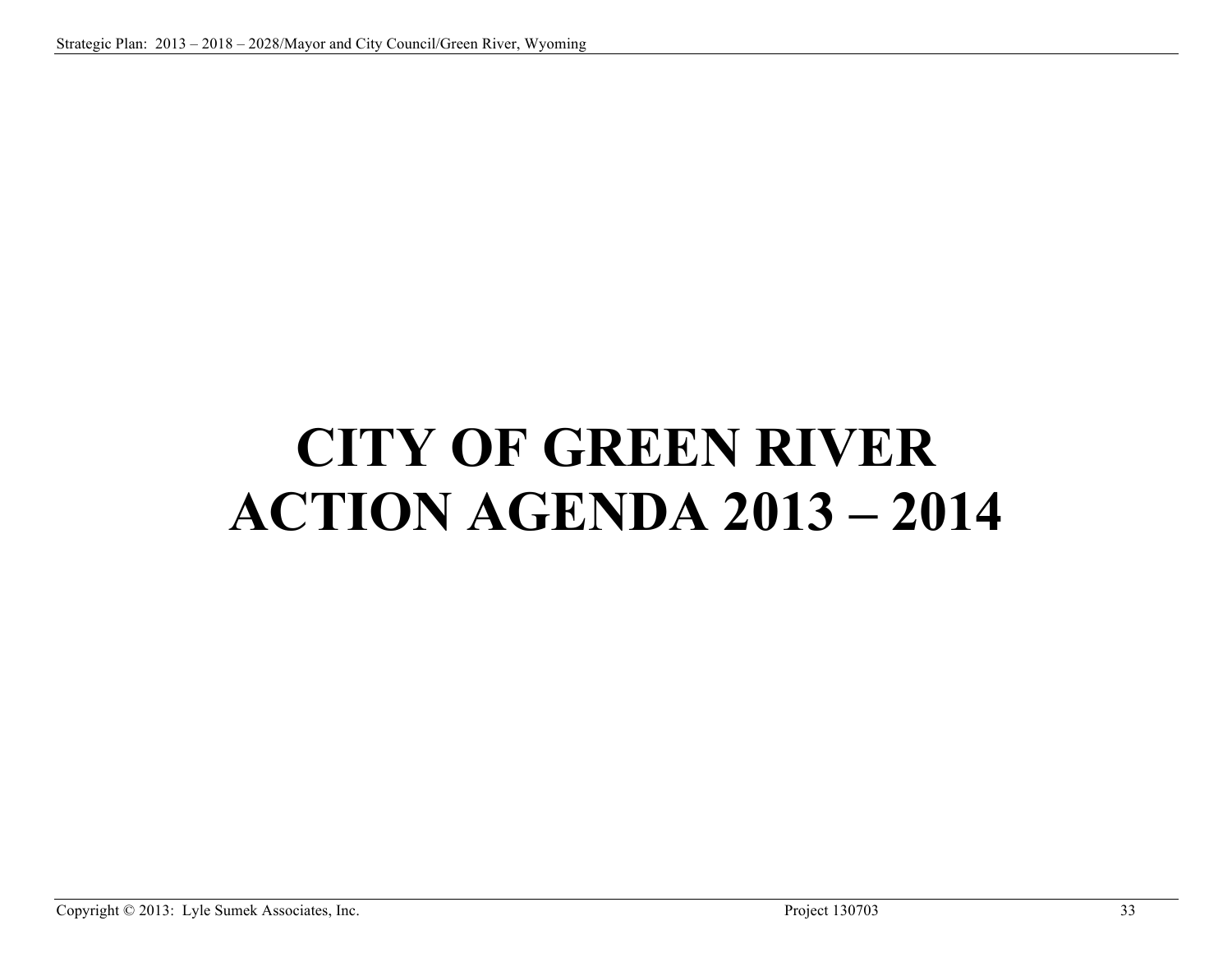# **CITY OF GREEN RIVER ACTION AGENDA 2013 – 2014**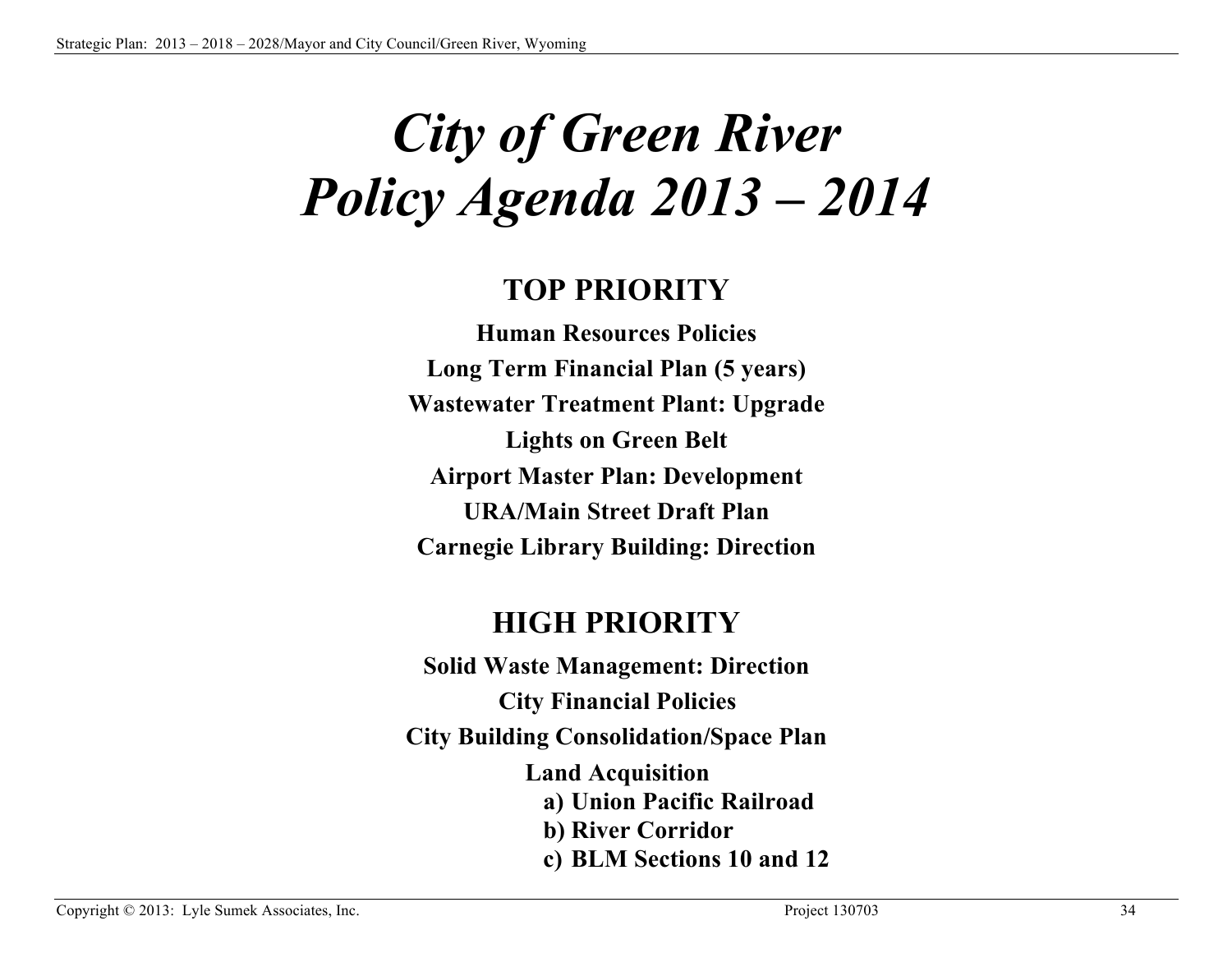# *City of Green River Policy Agenda 2013 – 2014*

# **TOP PRIORITY**

**Human Resources Policies Long Term Financial Plan (5 years) Wastewater Treatment Plant: Upgrade Lights on Green Belt Airport Master Plan: Development URA/Main Street Draft Plan Carnegie Library Building: Direction**

# **HIGH PRIORITY**

**Solid Waste Management: Direction City Financial Policies City Building Consolidation/Space Plan Land Acquisition a) Union Pacific Railroad b) River Corridor c) BLM Sections 10 and 12**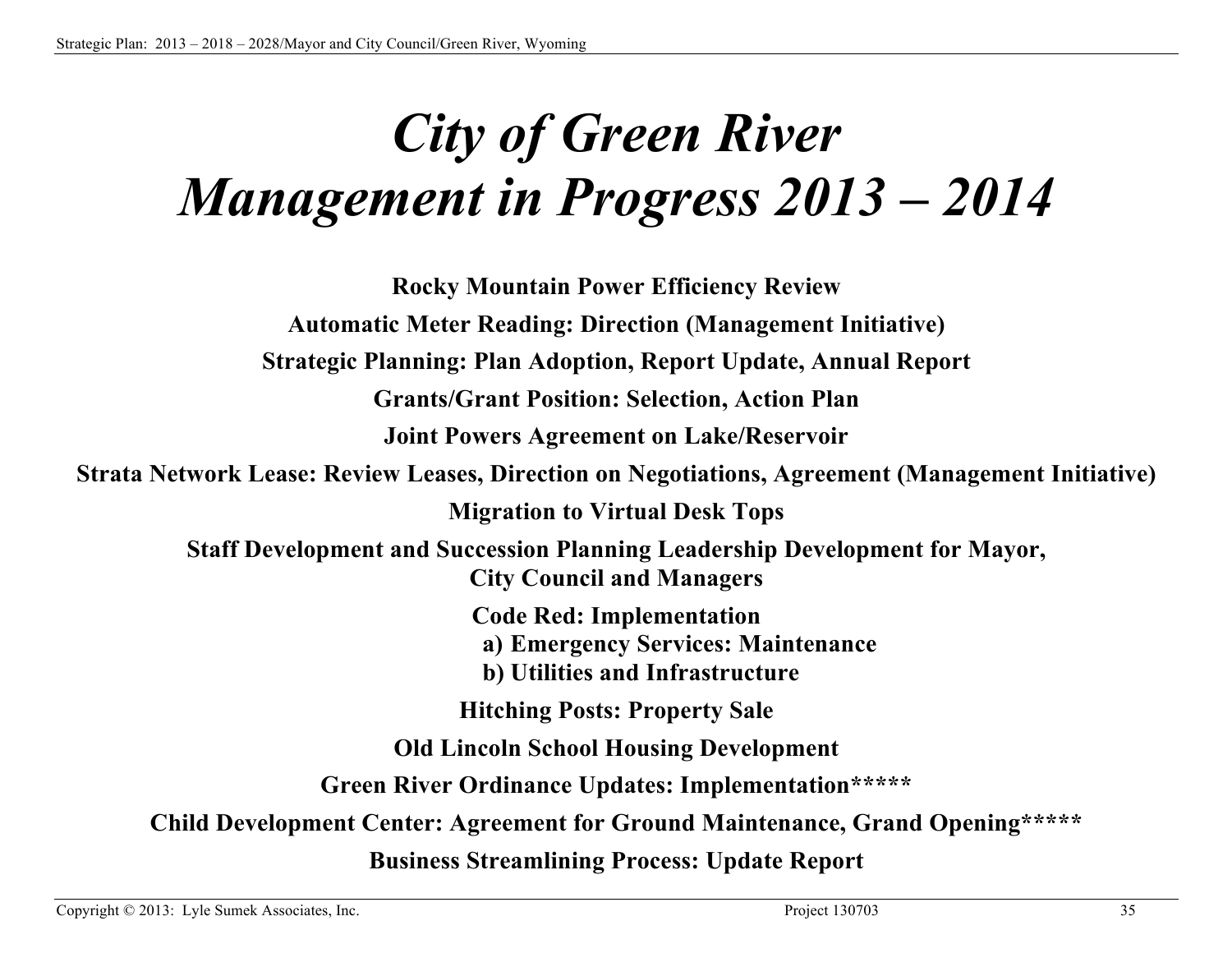# *City of Green River Management in Progress 2013 – 2014*

**Rocky Mountain Power Efficiency Review Automatic Meter Reading: Direction (Management Initiative) Strategic Planning: Plan Adoption, Report Update, Annual Report Grants/Grant Position: Selection, Action Plan Joint Powers Agreement on Lake/Reservoir Strata Network Lease: Review Leases, Direction on Negotiations, Agreement (Management Initiative) Migration to Virtual Desk Tops Staff Development and Succession Planning Leadership Development for Mayor, City Council and Managers Code Red: Implementation a) Emergency Services: Maintenance b) Utilities and Infrastructure Hitching Posts: Property Sale Old Lincoln School Housing Development Green River Ordinance Updates: Implementation\*\*\*\*\* Child Development Center: Agreement for Ground Maintenance, Grand Opening\*\*\*\*\* Business Streamlining Process: Update Report**